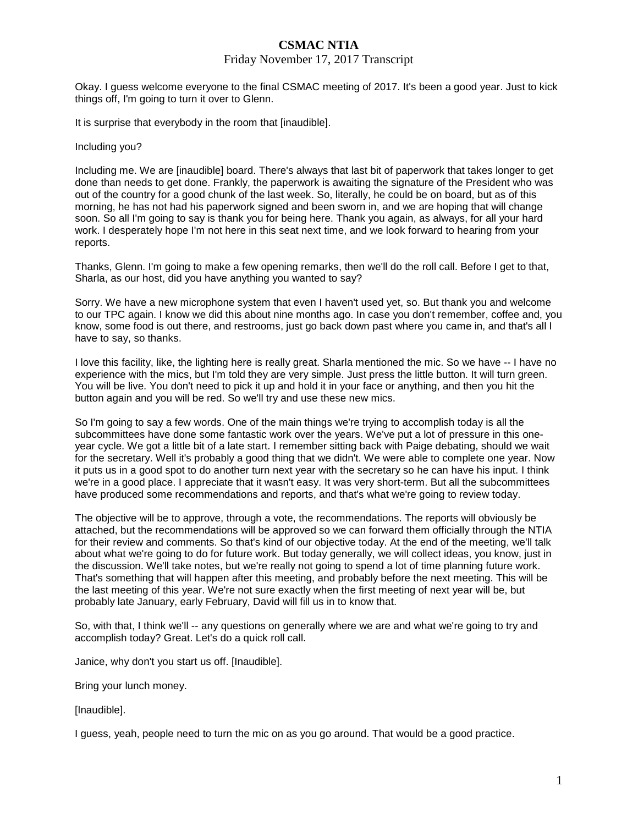#### Friday November 17, 2017 Transcript

Okay. I guess welcome everyone to the final CSMAC meeting of 2017. It's been a good year. Just to kick things off, I'm going to turn it over to Glenn.

It is surprise that everybody in the room that [inaudible].

#### Including you?

Including me. We are [inaudible] board. There's always that last bit of paperwork that takes longer to get done than needs to get done. Frankly, the paperwork is awaiting the signature of the President who was out of the country for a good chunk of the last week. So, literally, he could be on board, but as of this morning, he has not had his paperwork signed and been sworn in, and we are hoping that will change soon. So all I'm going to say is thank you for being here. Thank you again, as always, for all your hard work. I desperately hope I'm not here in this seat next time, and we look forward to hearing from your reports.

Thanks, Glenn. I'm going to make a few opening remarks, then we'll do the roll call. Before I get to that, Sharla, as our host, did you have anything you wanted to say?

Sorry. We have a new microphone system that even I haven't used yet, so. But thank you and welcome to our TPC again. I know we did this about nine months ago. In case you don't remember, coffee and, you know, some food is out there, and restrooms, just go back down past where you came in, and that's all I have to say, so thanks.

I love this facility, like, the lighting here is really great. Sharla mentioned the mic. So we have -- I have no experience with the mics, but I'm told they are very simple. Just press the little button. It will turn green. You will be live. You don't need to pick it up and hold it in your face or anything, and then you hit the button again and you will be red. So we'll try and use these new mics.

So I'm going to say a few words. One of the main things we're trying to accomplish today is all the subcommittees have done some fantastic work over the years. We've put a lot of pressure in this oneyear cycle. We got a little bit of a late start. I remember sitting back with Paige debating, should we wait for the secretary. Well it's probably a good thing that we didn't. We were able to complete one year. Now it puts us in a good spot to do another turn next year with the secretary so he can have his input. I think we're in a good place. I appreciate that it wasn't easy. It was very short-term. But all the subcommittees have produced some recommendations and reports, and that's what we're going to review today.

The objective will be to approve, through a vote, the recommendations. The reports will obviously be attached, but the recommendations will be approved so we can forward them officially through the NTIA for their review and comments. So that's kind of our objective today. At the end of the meeting, we'll talk about what we're going to do for future work. But today generally, we will collect ideas, you know, just in the discussion. We'll take notes, but we're really not going to spend a lot of time planning future work. That's something that will happen after this meeting, and probably before the next meeting. This will be the last meeting of this year. We're not sure exactly when the first meeting of next year will be, but probably late January, early February, David will fill us in to know that.

So, with that, I think we'll -- any questions on generally where we are and what we're going to try and accomplish today? Great. Let's do a quick roll call.

Janice, why don't you start us off. [Inaudible].

Bring your lunch money.

[Inaudible].

I guess, yeah, people need to turn the mic on as you go around. That would be a good practice.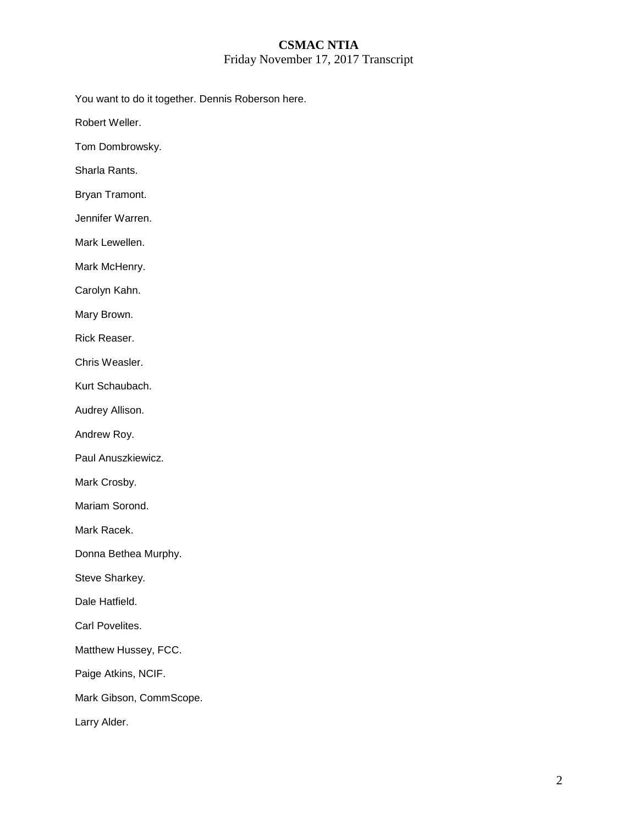### **CSMAC NTIA**  Friday November 17, 2017 Transcript

You want to do it together. Dennis Roberson here.

Robert Weller.

Tom Dombrowsky.

Sharla Rants.

Bryan Tramont.

Jennifer Warren.

Mark Lewellen.

Mark McHenry.

Carolyn Kahn.

Mary Brown.

Rick Reaser.

Chris Weasler.

Kurt Schaubach.

Audrey Allison.

Andrew Roy.

Paul Anuszkiewicz.

Mark Crosby.

Mariam Sorond.

Mark Racek.

Donna Bethea Murphy.

Steve Sharkey.

Dale Hatfield.

Carl Povelites.

Matthew Hussey, FCC.

Paige Atkins, NCIF.

Mark Gibson, CommScope.

Larry Alder.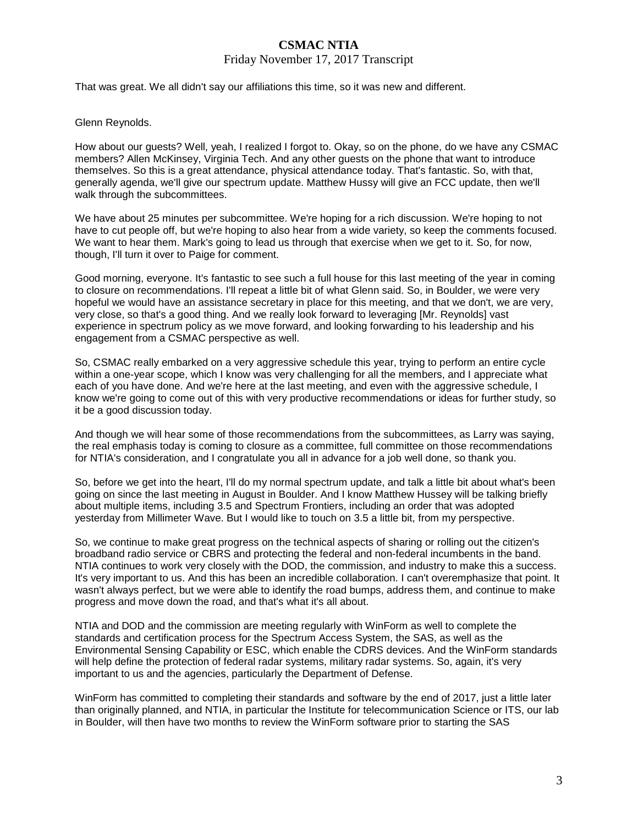### Friday November 17, 2017 Transcript

That was great. We all didn't say our affiliations this time, so it was new and different.

### Glenn Reynolds.

How about our guests? Well, yeah, I realized I forgot to. Okay, so on the phone, do we have any CSMAC members? Allen McKinsey, Virginia Tech. And any other guests on the phone that want to introduce themselves. So this is a great attendance, physical attendance today. That's fantastic. So, with that, generally agenda, we'll give our spectrum update. Matthew Hussy will give an FCC update, then we'll walk through the subcommittees.

We have about 25 minutes per subcommittee. We're hoping for a rich discussion. We're hoping to not have to cut people off, but we're hoping to also hear from a wide variety, so keep the comments focused. We want to hear them. Mark's going to lead us through that exercise when we get to it. So, for now, though, I'll turn it over to Paige for comment.

Good morning, everyone. It's fantastic to see such a full house for this last meeting of the year in coming to closure on recommendations. I'll repeat a little bit of what Glenn said. So, in Boulder, we were very hopeful we would have an assistance secretary in place for this meeting, and that we don't, we are very, very close, so that's a good thing. And we really look forward to leveraging [Mr. Reynolds] vast experience in spectrum policy as we move forward, and looking forwarding to his leadership and his engagement from a CSMAC perspective as well.

So, CSMAC really embarked on a very aggressive schedule this year, trying to perform an entire cycle within a one-year scope, which I know was very challenging for all the members, and I appreciate what each of you have done. And we're here at the last meeting, and even with the aggressive schedule, I know we're going to come out of this with very productive recommendations or ideas for further study, so it be a good discussion today.

And though we will hear some of those recommendations from the subcommittees, as Larry was saying, the real emphasis today is coming to closure as a committee, full committee on those recommendations for NTIA's consideration, and I congratulate you all in advance for a job well done, so thank you.

So, before we get into the heart, I'll do my normal spectrum update, and talk a little bit about what's been going on since the last meeting in August in Boulder. And I know Matthew Hussey will be talking briefly about multiple items, including 3.5 and Spectrum Frontiers, including an order that was adopted yesterday from Millimeter Wave. But I would like to touch on 3.5 a little bit, from my perspective.

So, we continue to make great progress on the technical aspects of sharing or rolling out the citizen's broadband radio service or CBRS and protecting the federal and non-federal incumbents in the band. NTIA continues to work very closely with the DOD, the commission, and industry to make this a success. It's very important to us. And this has been an incredible collaboration. I can't overemphasize that point. It wasn't always perfect, but we were able to identify the road bumps, address them, and continue to make progress and move down the road, and that's what it's all about.

NTIA and DOD and the commission are meeting regularly with WinForm as well to complete the standards and certification process for the Spectrum Access System, the SAS, as well as the Environmental Sensing Capability or ESC, which enable the CDRS devices. And the WinForm standards will help define the protection of federal radar systems, military radar systems. So, again, it's very important to us and the agencies, particularly the Department of Defense.

WinForm has committed to completing their standards and software by the end of 2017, just a little later than originally planned, and NTIA, in particular the Institute for telecommunication Science or ITS, our lab in Boulder, will then have two months to review the WinForm software prior to starting the SAS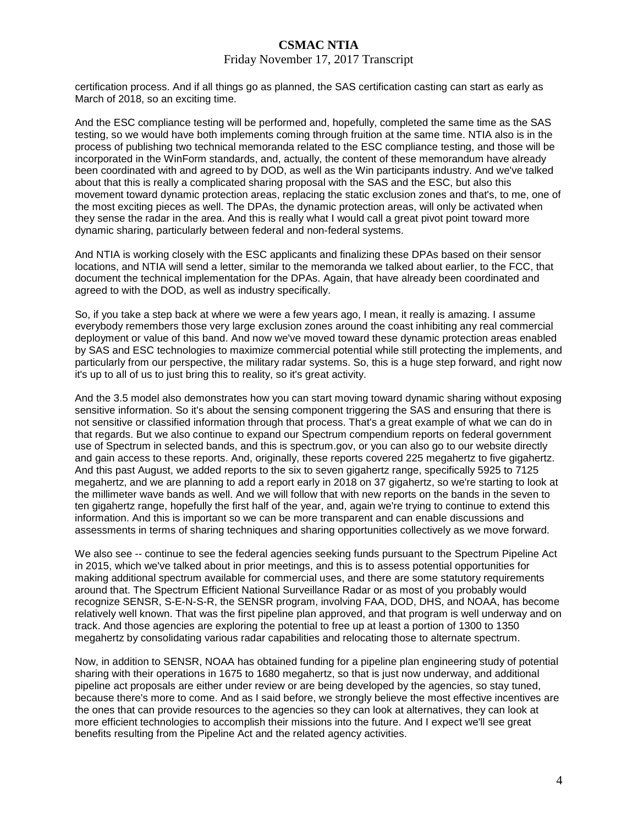#### Friday November 17, 2017 Transcript

certification process. And if all things go as planned, the SAS certification casting can start as early as March of 2018, so an exciting time.

And the ESC compliance testing will be performed and, hopefully, completed the same time as the SAS testing, so we would have both implements coming through fruition at the same time. NTIA also is in the process of publishing two technical memoranda related to the ESC compliance testing, and those will be incorporated in the WinForm standards, and, actually, the content of these memorandum have already been coordinated with and agreed to by DOD, as well as the Win participants industry. And we've talked about that this is really a complicated sharing proposal with the SAS and the ESC, but also this movement toward dynamic protection areas, replacing the static exclusion zones and that's, to me, one of the most exciting pieces as well. The DPAs, the dynamic protection areas, will only be activated when they sense the radar in the area. And this is really what I would call a great pivot point toward more dynamic sharing, particularly between federal and non-federal systems.

And NTIA is working closely with the ESC applicants and finalizing these DPAs based on their sensor locations, and NTIA will send a letter, similar to the memoranda we talked about earlier, to the FCC, that document the technical implementation for the DPAs. Again, that have already been coordinated and agreed to with the DOD, as well as industry specifically.

So, if you take a step back at where we were a few years ago, I mean, it really is amazing. I assume everybody remembers those very large exclusion zones around the coast inhibiting any real commercial deployment or value of this band. And now we've moved toward these dynamic protection areas enabled by SAS and ESC technologies to maximize commercial potential while still protecting the implements, and particularly from our perspective, the military radar systems. So, this is a huge step forward, and right now it's up to all of us to just bring this to reality, so it's great activity.

And the 3.5 model also demonstrates how you can start moving toward dynamic sharing without exposing sensitive information. So it's about the sensing component triggering the SAS and ensuring that there is not sensitive or classified information through that process. That's a great example of what we can do in that regards. But we also continue to expand our Spectrum compendium reports on federal government use of Spectrum in selected bands, and this is spectrum.gov, or you can also go to our website directly and gain access to these reports. And, originally, these reports covered 225 megahertz to five gigahertz. And this past August, we added reports to the six to seven gigahertz range, specifically 5925 to 7125 megahertz, and we are planning to add a report early in 2018 on 37 gigahertz, so we're starting to look at the millimeter wave bands as well. And we will follow that with new reports on the bands in the seven to ten gigahertz range, hopefully the first half of the year, and, again we're trying to continue to extend this information. And this is important so we can be more transparent and can enable discussions and assessments in terms of sharing techniques and sharing opportunities collectively as we move forward.

We also see -- continue to see the federal agencies seeking funds pursuant to the Spectrum Pipeline Act in 2015, which we've talked about in prior meetings, and this is to assess potential opportunities for making additional spectrum available for commercial uses, and there are some statutory requirements around that. The Spectrum Efficient National Surveillance Radar or as most of you probably would recognize SENSR, S-E-N-S-R, the SENSR program, involving FAA, DOD, DHS, and NOAA, has become relatively well known. That was the first pipeline plan approved, and that program is well underway and on track. And those agencies are exploring the potential to free up at least a portion of 1300 to 1350 megahertz by consolidating various radar capabilities and relocating those to alternate spectrum.

Now, in addition to SENSR, NOAA has obtained funding for a pipeline plan engineering study of potential sharing with their operations in 1675 to 1680 megahertz, so that is just now underway, and additional pipeline act proposals are either under review or are being developed by the agencies, so stay tuned, because there's more to come. And as I said before, we strongly believe the most effective incentives are the ones that can provide resources to the agencies so they can look at alternatives, they can look at more efficient technologies to accomplish their missions into the future. And I expect we'll see great benefits resulting from the Pipeline Act and the related agency activities.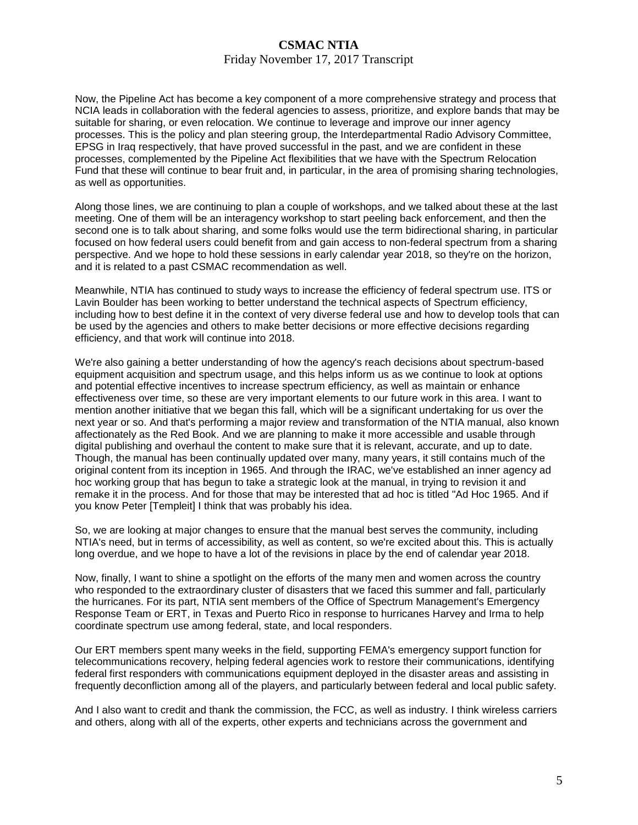### Friday November 17, 2017 Transcript

Now, the Pipeline Act has become a key component of a more comprehensive strategy and process that NCIA leads in collaboration with the federal agencies to assess, prioritize, and explore bands that may be suitable for sharing, or even relocation. We continue to leverage and improve our inner agency processes. This is the policy and plan steering group, the Interdepartmental Radio Advisory Committee, EPSG in Iraq respectively, that have proved successful in the past, and we are confident in these processes, complemented by the Pipeline Act flexibilities that we have with the Spectrum Relocation Fund that these will continue to bear fruit and, in particular, in the area of promising sharing technologies, as well as opportunities.

Along those lines, we are continuing to plan a couple of workshops, and we talked about these at the last meeting. One of them will be an interagency workshop to start peeling back enforcement, and then the second one is to talk about sharing, and some folks would use the term bidirectional sharing, in particular focused on how federal users could benefit from and gain access to non-federal spectrum from a sharing perspective. And we hope to hold these sessions in early calendar year 2018, so they're on the horizon, and it is related to a past CSMAC recommendation as well.

Meanwhile, NTIA has continued to study ways to increase the efficiency of federal spectrum use. ITS or Lavin Boulder has been working to better understand the technical aspects of Spectrum efficiency, including how to best define it in the context of very diverse federal use and how to develop tools that can be used by the agencies and others to make better decisions or more effective decisions regarding efficiency, and that work will continue into 2018.

We're also gaining a better understanding of how the agency's reach decisions about spectrum-based equipment acquisition and spectrum usage, and this helps inform us as we continue to look at options and potential effective incentives to increase spectrum efficiency, as well as maintain or enhance effectiveness over time, so these are very important elements to our future work in this area. I want to mention another initiative that we began this fall, which will be a significant undertaking for us over the next year or so. And that's performing a major review and transformation of the NTIA manual, also known affectionately as the Red Book. And we are planning to make it more accessible and usable through digital publishing and overhaul the content to make sure that it is relevant, accurate, and up to date. Though, the manual has been continually updated over many, many years, it still contains much of the original content from its inception in 1965. And through the IRAC, we've established an inner agency ad hoc working group that has begun to take a strategic look at the manual, in trying to revision it and remake it in the process. And for those that may be interested that ad hoc is titled "Ad Hoc 1965. And if you know Peter [Templeit] I think that was probably his idea.

So, we are looking at major changes to ensure that the manual best serves the community, including NTIA's need, but in terms of accessibility, as well as content, so we're excited about this. This is actually long overdue, and we hope to have a lot of the revisions in place by the end of calendar year 2018.

Now, finally, I want to shine a spotlight on the efforts of the many men and women across the country who responded to the extraordinary cluster of disasters that we faced this summer and fall, particularly the hurricanes. For its part, NTIA sent members of the Office of Spectrum Management's Emergency Response Team or ERT, in Texas and Puerto Rico in response to hurricanes Harvey and Irma to help coordinate spectrum use among federal, state, and local responders.

Our ERT members spent many weeks in the field, supporting FEMA's emergency support function for telecommunications recovery, helping federal agencies work to restore their communications, identifying federal first responders with communications equipment deployed in the disaster areas and assisting in frequently deconfliction among all of the players, and particularly between federal and local public safety.

And I also want to credit and thank the commission, the FCC, as well as industry. I think wireless carriers and others, along with all of the experts, other experts and technicians across the government and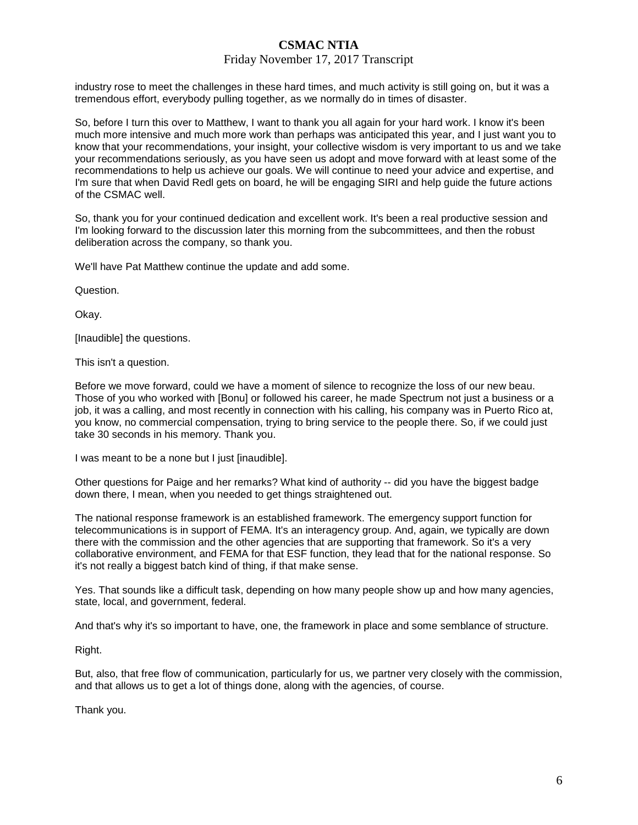### Friday November 17, 2017 Transcript

industry rose to meet the challenges in these hard times, and much activity is still going on, but it was a tremendous effort, everybody pulling together, as we normally do in times of disaster.

So, before I turn this over to Matthew, I want to thank you all again for your hard work. I know it's been much more intensive and much more work than perhaps was anticipated this year, and I just want you to know that your recommendations, your insight, your collective wisdom is very important to us and we take your recommendations seriously, as you have seen us adopt and move forward with at least some of the recommendations to help us achieve our goals. We will continue to need your advice and expertise, and I'm sure that when David Redl gets on board, he will be engaging SIRI and help guide the future actions of the CSMAC well.

So, thank you for your continued dedication and excellent work. It's been a real productive session and I'm looking forward to the discussion later this morning from the subcommittees, and then the robust deliberation across the company, so thank you.

We'll have Pat Matthew continue the update and add some.

Question.

Okay.

[Inaudible] the questions.

This isn't a question.

Before we move forward, could we have a moment of silence to recognize the loss of our new beau. Those of you who worked with [Bonu] or followed his career, he made Spectrum not just a business or a job, it was a calling, and most recently in connection with his calling, his company was in Puerto Rico at, you know, no commercial compensation, trying to bring service to the people there. So, if we could just take 30 seconds in his memory. Thank you.

I was meant to be a none but I just [inaudible].

Other questions for Paige and her remarks? What kind of authority -- did you have the biggest badge down there, I mean, when you needed to get things straightened out.

The national response framework is an established framework. The emergency support function for telecommunications is in support of FEMA. It's an interagency group. And, again, we typically are down there with the commission and the other agencies that are supporting that framework. So it's a very collaborative environment, and FEMA for that ESF function, they lead that for the national response. So it's not really a biggest batch kind of thing, if that make sense.

Yes. That sounds like a difficult task, depending on how many people show up and how many agencies, state, local, and government, federal.

And that's why it's so important to have, one, the framework in place and some semblance of structure.

Right.

But, also, that free flow of communication, particularly for us, we partner very closely with the commission, and that allows us to get a lot of things done, along with the agencies, of course.

Thank you.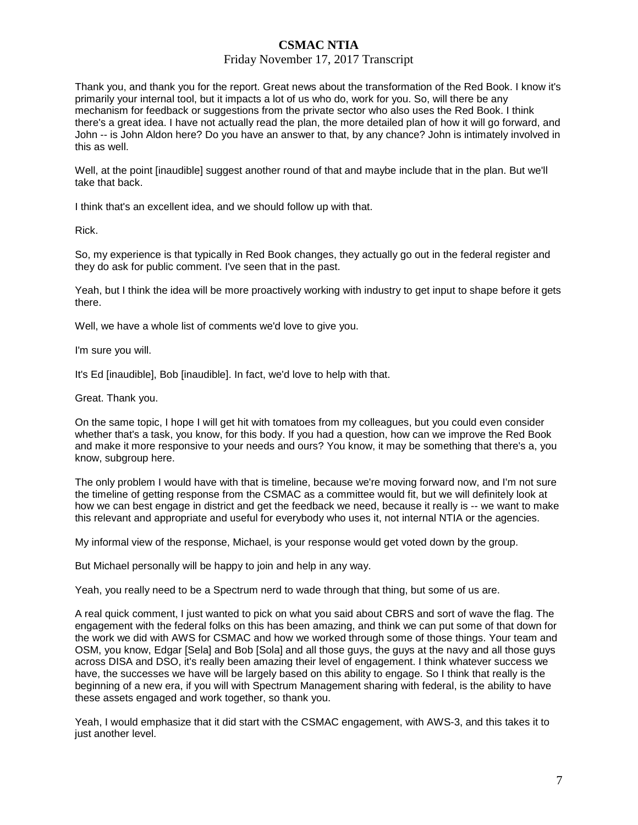### Friday November 17, 2017 Transcript

Thank you, and thank you for the report. Great news about the transformation of the Red Book. I know it's primarily your internal tool, but it impacts a lot of us who do, work for you. So, will there be any mechanism for feedback or suggestions from the private sector who also uses the Red Book. I think there's a great idea. I have not actually read the plan, the more detailed plan of how it will go forward, and John -- is John Aldon here? Do you have an answer to that, by any chance? John is intimately involved in this as well.

Well, at the point [inaudible] suggest another round of that and maybe include that in the plan. But we'll take that back.

I think that's an excellent idea, and we should follow up with that.

Rick.

So, my experience is that typically in Red Book changes, they actually go out in the federal register and they do ask for public comment. I've seen that in the past.

Yeah, but I think the idea will be more proactively working with industry to get input to shape before it gets there.

Well, we have a whole list of comments we'd love to give you.

I'm sure you will.

It's Ed [inaudible]. Bob [inaudible]. In fact, we'd love to help with that.

Great. Thank you.

On the same topic, I hope I will get hit with tomatoes from my colleagues, but you could even consider whether that's a task, you know, for this body. If you had a question, how can we improve the Red Book and make it more responsive to your needs and ours? You know, it may be something that there's a, you know, subgroup here.

The only problem I would have with that is timeline, because we're moving forward now, and I'm not sure the timeline of getting response from the CSMAC as a committee would fit, but we will definitely look at how we can best engage in district and get the feedback we need, because it really is -- we want to make this relevant and appropriate and useful for everybody who uses it, not internal NTIA or the agencies.

My informal view of the response, Michael, is your response would get voted down by the group.

But Michael personally will be happy to join and help in any way.

Yeah, you really need to be a Spectrum nerd to wade through that thing, but some of us are.

A real quick comment, I just wanted to pick on what you said about CBRS and sort of wave the flag. The engagement with the federal folks on this has been amazing, and think we can put some of that down for the work we did with AWS for CSMAC and how we worked through some of those things. Your team and OSM, you know, Edgar [Sela] and Bob [Sola] and all those guys, the guys at the navy and all those guys across DISA and DSO, it's really been amazing their level of engagement. I think whatever success we have, the successes we have will be largely based on this ability to engage. So I think that really is the beginning of a new era, if you will with Spectrum Management sharing with federal, is the ability to have these assets engaged and work together, so thank you.

Yeah, I would emphasize that it did start with the CSMAC engagement, with AWS-3, and this takes it to just another level.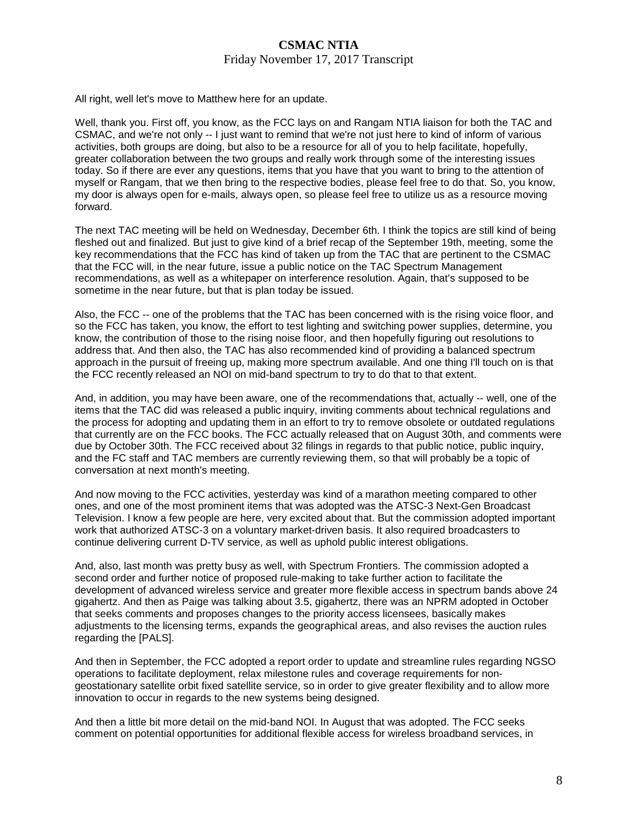### Friday November 17, 2017 Transcript

All right, well let's move to Matthew here for an update.

Well, thank you. First off, you know, as the FCC lays on and Rangam NTIA liaison for both the TAC and CSMAC, and we're not only -- I just want to remind that we're not just here to kind of inform of various activities, both groups are doing, but also to be a resource for all of you to help facilitate, hopefully, greater collaboration between the two groups and really work through some of the interesting issues today. So if there are ever any questions, items that you have that you want to bring to the attention of myself or Rangam, that we then bring to the respective bodies, please feel free to do that. So, you know, my door is always open for e-mails, always open, so please feel free to utilize us as a resource moving forward.

The next TAC meeting will be held on Wednesday, December 6th. I think the topics are still kind of being fleshed out and finalized. But just to give kind of a brief recap of the September 19th, meeting, some the key recommendations that the FCC has kind of taken up from the TAC that are pertinent to the CSMAC that the FCC will, in the near future, issue a public notice on the TAC Spectrum Management recommendations, as well as a whitepaper on interference resolution. Again, that's supposed to be sometime in the near future, but that is plan today be issued.

Also, the FCC -- one of the problems that the TAC has been concerned with is the rising voice floor, and so the FCC has taken, you know, the effort to test lighting and switching power supplies, determine, you know, the contribution of those to the rising noise floor, and then hopefully figuring out resolutions to address that. And then also, the TAC has also recommended kind of providing a balanced spectrum approach in the pursuit of freeing up, making more spectrum available. And one thing I'll touch on is that the FCC recently released an NOI on mid-band spectrum to try to do that to that extent.

And, in addition, you may have been aware, one of the recommendations that, actually -- well, one of the items that the TAC did was released a public inquiry, inviting comments about technical regulations and the process for adopting and updating them in an effort to try to remove obsolete or outdated regulations that currently are on the FCC books. The FCC actually released that on August 30th, and comments were due by October 30th. The FCC received about 32 filings in regards to that public notice, public inquiry, and the FC staff and TAC members are currently reviewing them, so that will probably be a topic of conversation at next month's meeting.

And now moving to the FCC activities, yesterday was kind of a marathon meeting compared to other ones, and one of the most prominent items that was adopted was the ATSC-3 Next-Gen Broadcast Television. I know a few people are here, very excited about that. But the commission adopted important work that authorized ATSC-3 on a voluntary market-driven basis. It also required broadcasters to continue delivering current D-TV service, as well as uphold public interest obligations.

And, also, last month was pretty busy as well, with Spectrum Frontiers. The commission adopted a second order and further notice of proposed rule-making to take further action to facilitate the development of advanced wireless service and greater more flexible access in spectrum bands above 24 gigahertz. And then as Paige was talking about 3.5, gigahertz, there was an NPRM adopted in October that seeks comments and proposes changes to the priority access licensees, basically makes adjustments to the licensing terms, expands the geographical areas, and also revises the auction rules regarding the [PALS].

And then in September, the FCC adopted a report order to update and streamline rules regarding NGSO operations to facilitate deployment, relax milestone rules and coverage requirements for nongeostationary satellite orbit fixed satellite service, so in order to give greater flexibility and to allow more innovation to occur in regards to the new systems being designed.

And then a little bit more detail on the mid-band NOI. In August that was adopted. The FCC seeks comment on potential opportunities for additional flexible access for wireless broadband services, in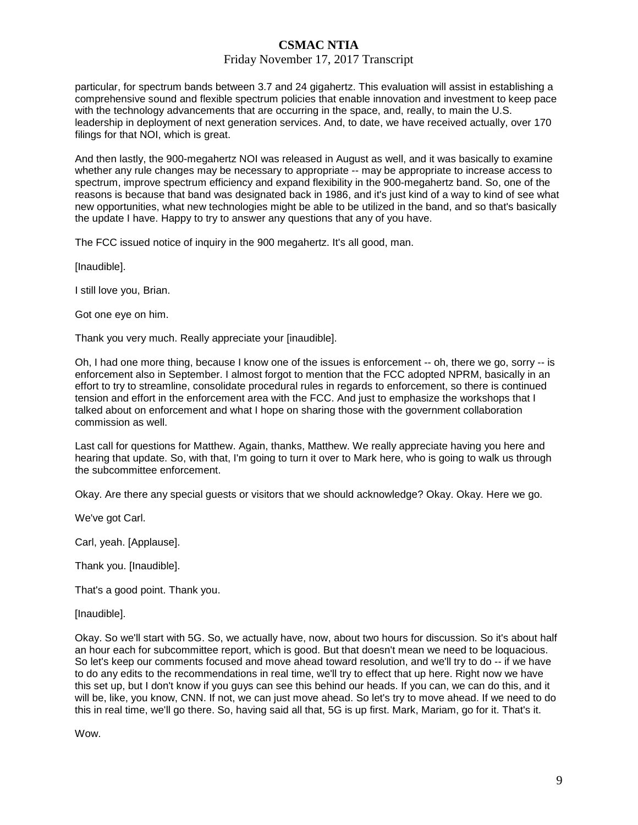### Friday November 17, 2017 Transcript

particular, for spectrum bands between 3.7 and 24 gigahertz. This evaluation will assist in establishing a comprehensive sound and flexible spectrum policies that enable innovation and investment to keep pace with the technology advancements that are occurring in the space, and, really, to main the U.S. leadership in deployment of next generation services. And, to date, we have received actually, over 170 filings for that NOI, which is great.

And then lastly, the 900-megahertz NOI was released in August as well, and it was basically to examine whether any rule changes may be necessary to appropriate -- may be appropriate to increase access to spectrum, improve spectrum efficiency and expand flexibility in the 900-megahertz band. So, one of the reasons is because that band was designated back in 1986, and it's just kind of a way to kind of see what new opportunities, what new technologies might be able to be utilized in the band, and so that's basically the update I have. Happy to try to answer any questions that any of you have.

The FCC issued notice of inquiry in the 900 megahertz. It's all good, man.

[Inaudible].

I still love you, Brian.

Got one eye on him.

Thank you very much. Really appreciate your [inaudible].

Oh, I had one more thing, because I know one of the issues is enforcement -- oh, there we go, sorry -- is enforcement also in September. I almost forgot to mention that the FCC adopted NPRM, basically in an effort to try to streamline, consolidate procedural rules in regards to enforcement, so there is continued tension and effort in the enforcement area with the FCC. And just to emphasize the workshops that I talked about on enforcement and what I hope on sharing those with the government collaboration commission as well.

Last call for questions for Matthew. Again, thanks, Matthew. We really appreciate having you here and hearing that update. So, with that, I'm going to turn it over to Mark here, who is going to walk us through the subcommittee enforcement.

Okay. Are there any special guests or visitors that we should acknowledge? Okay. Okay. Here we go.

We've got Carl.

Carl, yeah. [Applause].

Thank you. [Inaudible].

That's a good point. Thank you.

[Inaudible].

Okay. So we'll start with 5G. So, we actually have, now, about two hours for discussion. So it's about half an hour each for subcommittee report, which is good. But that doesn't mean we need to be loquacious. So let's keep our comments focused and move ahead toward resolution, and we'll try to do -- if we have to do any edits to the recommendations in real time, we'll try to effect that up here. Right now we have this set up, but I don't know if you guys can see this behind our heads. If you can, we can do this, and it will be, like, you know, CNN. If not, we can just move ahead. So let's try to move ahead. If we need to do this in real time, we'll go there. So, having said all that, 5G is up first. Mark, Mariam, go for it. That's it.

Wow.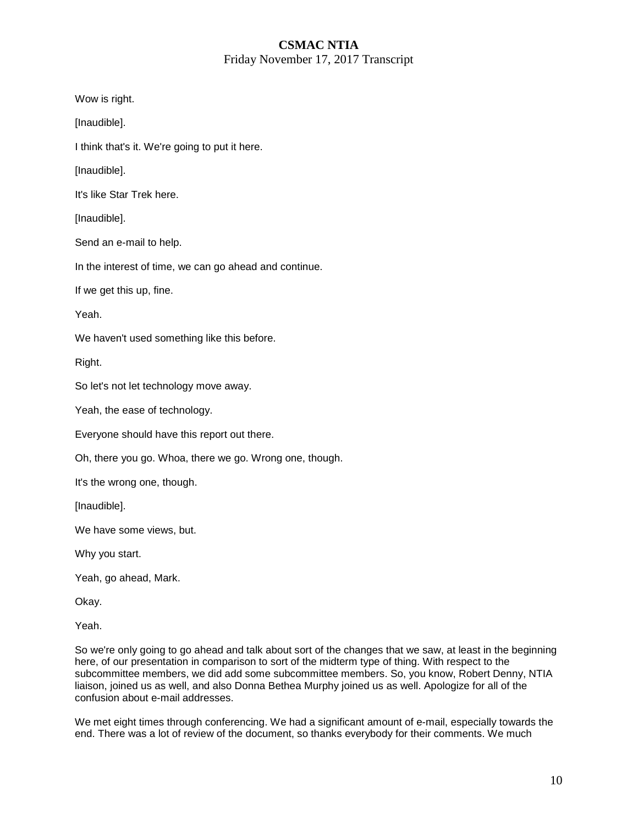### **CSMAC NTIA**  Friday November 17, 2017 Transcript

Wow is right.

[Inaudible].

I think that's it. We're going to put it here.

[Inaudible].

It's like Star Trek here.

[Inaudible].

Send an e-mail to help.

In the interest of time, we can go ahead and continue.

If we get this up, fine.

Yeah.

We haven't used something like this before.

Right.

So let's not let technology move away.

Yeah, the ease of technology.

Everyone should have this report out there.

Oh, there you go. Whoa, there we go. Wrong one, though.

It's the wrong one, though.

[Inaudible].

We have some views, but.

Why you start.

Yeah, go ahead, Mark.

Okay.

Yeah.

So we're only going to go ahead and talk about sort of the changes that we saw, at least in the beginning here, of our presentation in comparison to sort of the midterm type of thing. With respect to the subcommittee members, we did add some subcommittee members. So, you know, Robert Denny, NTIA liaison, joined us as well, and also Donna Bethea Murphy joined us as well. Apologize for all of the confusion about e-mail addresses.

We met eight times through conferencing. We had a significant amount of e-mail, especially towards the end. There was a lot of review of the document, so thanks everybody for their comments. We much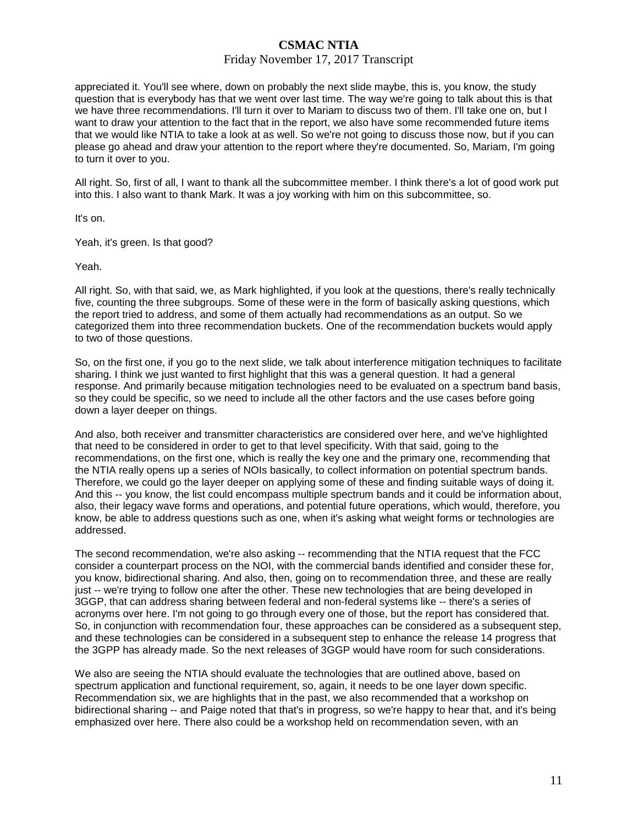### Friday November 17, 2017 Transcript

appreciated it. You'll see where, down on probably the next slide maybe, this is, you know, the study question that is everybody has that we went over last time. The way we're going to talk about this is that we have three recommendations. I'll turn it over to Mariam to discuss two of them. I'll take one on, but I want to draw your attention to the fact that in the report, we also have some recommended future items that we would like NTIA to take a look at as well. So we're not going to discuss those now, but if you can please go ahead and draw your attention to the report where they're documented. So, Mariam, I'm going to turn it over to you.

All right. So, first of all, I want to thank all the subcommittee member. I think there's a lot of good work put into this. I also want to thank Mark. It was a joy working with him on this subcommittee, so.

It's on.

Yeah, it's green. Is that good?

Yeah.

All right. So, with that said, we, as Mark highlighted, if you look at the questions, there's really technically five, counting the three subgroups. Some of these were in the form of basically asking questions, which the report tried to address, and some of them actually had recommendations as an output. So we categorized them into three recommendation buckets. One of the recommendation buckets would apply to two of those questions.

So, on the first one, if you go to the next slide, we talk about interference mitigation techniques to facilitate sharing. I think we just wanted to first highlight that this was a general question. It had a general response. And primarily because mitigation technologies need to be evaluated on a spectrum band basis, so they could be specific, so we need to include all the other factors and the use cases before going down a layer deeper on things.

And also, both receiver and transmitter characteristics are considered over here, and we've highlighted that need to be considered in order to get to that level specificity. With that said, going to the recommendations, on the first one, which is really the key one and the primary one, recommending that the NTIA really opens up a series of NOIs basically, to collect information on potential spectrum bands. Therefore, we could go the layer deeper on applying some of these and finding suitable ways of doing it. And this -- you know, the list could encompass multiple spectrum bands and it could be information about, also, their legacy wave forms and operations, and potential future operations, which would, therefore, you know, be able to address questions such as one, when it's asking what weight forms or technologies are addressed.

The second recommendation, we're also asking -- recommending that the NTIA request that the FCC consider a counterpart process on the NOI, with the commercial bands identified and consider these for, you know, bidirectional sharing. And also, then, going on to recommendation three, and these are really just -- we're trying to follow one after the other. These new technologies that are being developed in 3GGP, that can address sharing between federal and non-federal systems like -- there's a series of acronyms over here. I'm not going to go through every one of those, but the report has considered that. So, in conjunction with recommendation four, these approaches can be considered as a subsequent step, and these technologies can be considered in a subsequent step to enhance the release 14 progress that the 3GPP has already made. So the next releases of 3GGP would have room for such considerations.

We also are seeing the NTIA should evaluate the technologies that are outlined above, based on spectrum application and functional requirement, so, again, it needs to be one layer down specific. Recommendation six, we are highlights that in the past, we also recommended that a workshop on bidirectional sharing -- and Paige noted that that's in progress, so we're happy to hear that, and it's being emphasized over here. There also could be a workshop held on recommendation seven, with an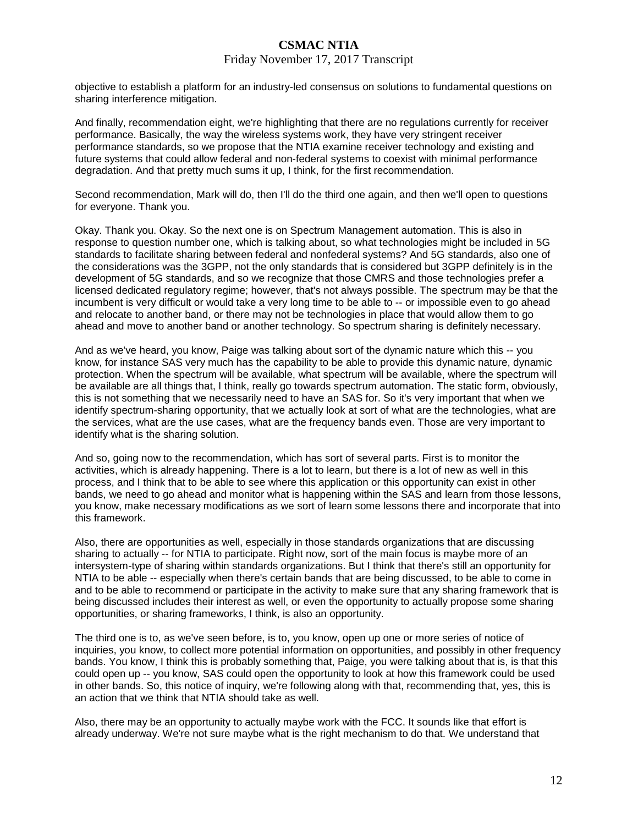#### Friday November 17, 2017 Transcript

objective to establish a platform for an industry-led consensus on solutions to fundamental questions on sharing interference mitigation.

And finally, recommendation eight, we're highlighting that there are no regulations currently for receiver performance. Basically, the way the wireless systems work, they have very stringent receiver performance standards, so we propose that the NTIA examine receiver technology and existing and future systems that could allow federal and non-federal systems to coexist with minimal performance degradation. And that pretty much sums it up, I think, for the first recommendation.

Second recommendation, Mark will do, then I'll do the third one again, and then we'll open to questions for everyone. Thank you.

Okay. Thank you. Okay. So the next one is on Spectrum Management automation. This is also in response to question number one, which is talking about, so what technologies might be included in 5G standards to facilitate sharing between federal and nonfederal systems? And 5G standards, also one of the considerations was the 3GPP, not the only standards that is considered but 3GPP definitely is in the development of 5G standards, and so we recognize that those CMRS and those technologies prefer a licensed dedicated regulatory regime; however, that's not always possible. The spectrum may be that the incumbent is very difficult or would take a very long time to be able to -- or impossible even to go ahead and relocate to another band, or there may not be technologies in place that would allow them to go ahead and move to another band or another technology. So spectrum sharing is definitely necessary.

And as we've heard, you know, Paige was talking about sort of the dynamic nature which this -- you know, for instance SAS very much has the capability to be able to provide this dynamic nature, dynamic protection. When the spectrum will be available, what spectrum will be available, where the spectrum will be available are all things that, I think, really go towards spectrum automation. The static form, obviously, this is not something that we necessarily need to have an SAS for. So it's very important that when we identify spectrum-sharing opportunity, that we actually look at sort of what are the technologies, what are the services, what are the use cases, what are the frequency bands even. Those are very important to identify what is the sharing solution.

And so, going now to the recommendation, which has sort of several parts. First is to monitor the activities, which is already happening. There is a lot to learn, but there is a lot of new as well in this process, and I think that to be able to see where this application or this opportunity can exist in other bands, we need to go ahead and monitor what is happening within the SAS and learn from those lessons, you know, make necessary modifications as we sort of learn some lessons there and incorporate that into this framework.

Also, there are opportunities as well, especially in those standards organizations that are discussing sharing to actually -- for NTIA to participate. Right now, sort of the main focus is maybe more of an intersystem-type of sharing within standards organizations. But I think that there's still an opportunity for NTIA to be able -- especially when there's certain bands that are being discussed, to be able to come in and to be able to recommend or participate in the activity to make sure that any sharing framework that is being discussed includes their interest as well, or even the opportunity to actually propose some sharing opportunities, or sharing frameworks, I think, is also an opportunity.

The third one is to, as we've seen before, is to, you know, open up one or more series of notice of inquiries, you know, to collect more potential information on opportunities, and possibly in other frequency bands. You know, I think this is probably something that, Paige, you were talking about that is, is that this could open up -- you know, SAS could open the opportunity to look at how this framework could be used in other bands. So, this notice of inquiry, we're following along with that, recommending that, yes, this is an action that we think that NTIA should take as well.

Also, there may be an opportunity to actually maybe work with the FCC. It sounds like that effort is already underway. We're not sure maybe what is the right mechanism to do that. We understand that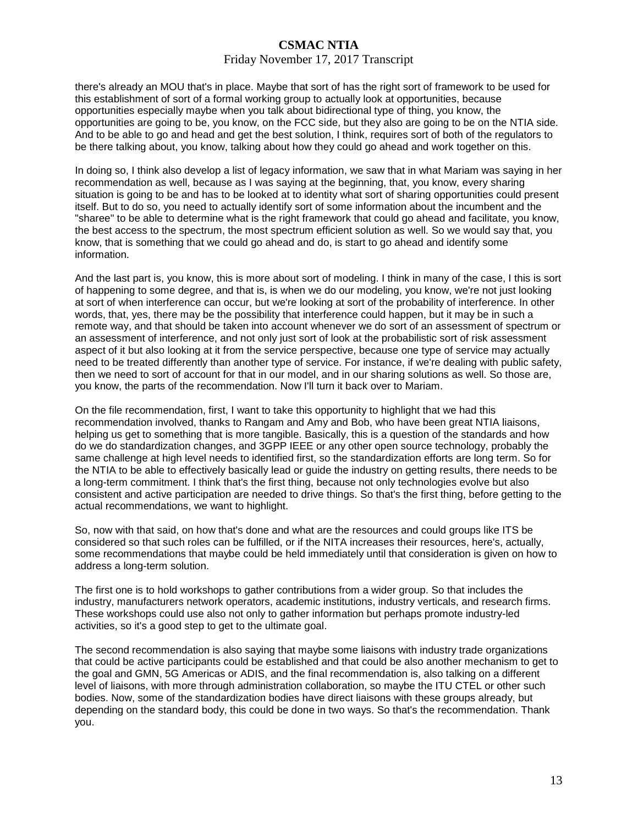### Friday November 17, 2017 Transcript

there's already an MOU that's in place. Maybe that sort of has the right sort of framework to be used for this establishment of sort of a formal working group to actually look at opportunities, because opportunities especially maybe when you talk about bidirectional type of thing, you know, the opportunities are going to be, you know, on the FCC side, but they also are going to be on the NTIA side. And to be able to go and head and get the best solution, I think, requires sort of both of the regulators to be there talking about, you know, talking about how they could go ahead and work together on this.

In doing so, I think also develop a list of legacy information, we saw that in what Mariam was saying in her recommendation as well, because as I was saying at the beginning, that, you know, every sharing situation is going to be and has to be looked at to identity what sort of sharing opportunities could present itself. But to do so, you need to actually identify sort of some information about the incumbent and the "sharee" to be able to determine what is the right framework that could go ahead and facilitate, you know, the best access to the spectrum, the most spectrum efficient solution as well. So we would say that, you know, that is something that we could go ahead and do, is start to go ahead and identify some information.

And the last part is, you know, this is more about sort of modeling. I think in many of the case, I this is sort of happening to some degree, and that is, is when we do our modeling, you know, we're not just looking at sort of when interference can occur, but we're looking at sort of the probability of interference. In other words, that, yes, there may be the possibility that interference could happen, but it may be in such a remote way, and that should be taken into account whenever we do sort of an assessment of spectrum or an assessment of interference, and not only just sort of look at the probabilistic sort of risk assessment aspect of it but also looking at it from the service perspective, because one type of service may actually need to be treated differently than another type of service. For instance, if we're dealing with public safety, then we need to sort of account for that in our model, and in our sharing solutions as well. So those are, you know, the parts of the recommendation. Now I'll turn it back over to Mariam.

On the file recommendation, first, I want to take this opportunity to highlight that we had this recommendation involved, thanks to Rangam and Amy and Bob, who have been great NTIA liaisons, helping us get to something that is more tangible. Basically, this is a question of the standards and how do we do standardization changes, and 3GPP IEEE or any other open source technology, probably the same challenge at high level needs to identified first, so the standardization efforts are long term. So for the NTIA to be able to effectively basically lead or guide the industry on getting results, there needs to be a long-term commitment. I think that's the first thing, because not only technologies evolve but also consistent and active participation are needed to drive things. So that's the first thing, before getting to the actual recommendations, we want to highlight.

So, now with that said, on how that's done and what are the resources and could groups like ITS be considered so that such roles can be fulfilled, or if the NITA increases their resources, here's, actually, some recommendations that maybe could be held immediately until that consideration is given on how to address a long-term solution.

The first one is to hold workshops to gather contributions from a wider group. So that includes the industry, manufacturers network operators, academic institutions, industry verticals, and research firms. These workshops could use also not only to gather information but perhaps promote industry-led activities, so it's a good step to get to the ultimate goal.

The second recommendation is also saying that maybe some liaisons with industry trade organizations that could be active participants could be established and that could be also another mechanism to get to the goal and GMN, 5G Americas or ADIS, and the final recommendation is, also talking on a different level of liaisons, with more through administration collaboration, so maybe the ITU CTEL or other such bodies. Now, some of the standardization bodies have direct liaisons with these groups already, but depending on the standard body, this could be done in two ways. So that's the recommendation. Thank you.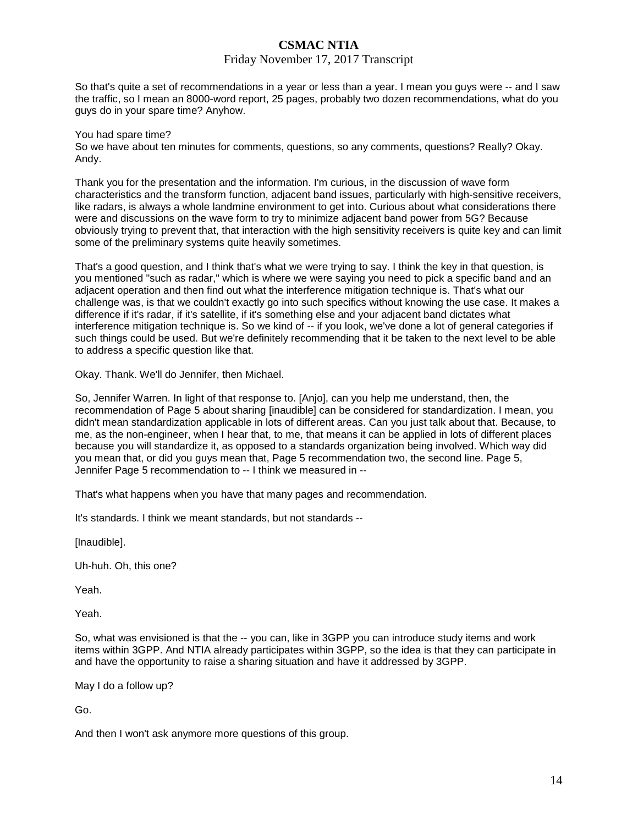### Friday November 17, 2017 Transcript

So that's quite a set of recommendations in a year or less than a year. I mean you guys were -- and I saw the traffic, so I mean an 8000-word report, 25 pages, probably two dozen recommendations, what do you guys do in your spare time? Anyhow.

#### You had spare time?

So we have about ten minutes for comments, questions, so any comments, questions? Really? Okay. Andy.

Thank you for the presentation and the information. I'm curious, in the discussion of wave form characteristics and the transform function, adjacent band issues, particularly with high-sensitive receivers, like radars, is always a whole landmine environment to get into. Curious about what considerations there were and discussions on the wave form to try to minimize adjacent band power from 5G? Because obviously trying to prevent that, that interaction with the high sensitivity receivers is quite key and can limit some of the preliminary systems quite heavily sometimes.

That's a good question, and I think that's what we were trying to say. I think the key in that question, is you mentioned "such as radar," which is where we were saying you need to pick a specific band and an adjacent operation and then find out what the interference mitigation technique is. That's what our challenge was, is that we couldn't exactly go into such specifics without knowing the use case. It makes a difference if it's radar, if it's satellite, if it's something else and your adjacent band dictates what interference mitigation technique is. So we kind of -- if you look, we've done a lot of general categories if such things could be used. But we're definitely recommending that it be taken to the next level to be able to address a specific question like that.

Okay. Thank. We'll do Jennifer, then Michael.

So, Jennifer Warren. In light of that response to. [Anjo], can you help me understand, then, the recommendation of Page 5 about sharing [inaudible] can be considered for standardization. I mean, you didn't mean standardization applicable in lots of different areas. Can you just talk about that. Because, to me, as the non-engineer, when I hear that, to me, that means it can be applied in lots of different places because you will standardize it, as opposed to a standards organization being involved. Which way did you mean that, or did you guys mean that, Page 5 recommendation two, the second line. Page 5, Jennifer Page 5 recommendation to -- I think we measured in --

That's what happens when you have that many pages and recommendation.

It's standards. I think we meant standards, but not standards --

[Inaudible].

Uh-huh. Oh, this one?

Yeah.

Yeah.

So, what was envisioned is that the -- you can, like in 3GPP you can introduce study items and work items within 3GPP. And NTIA already participates within 3GPP, so the idea is that they can participate in and have the opportunity to raise a sharing situation and have it addressed by 3GPP.

May I do a follow up?

Go.

And then I won't ask anymore more questions of this group.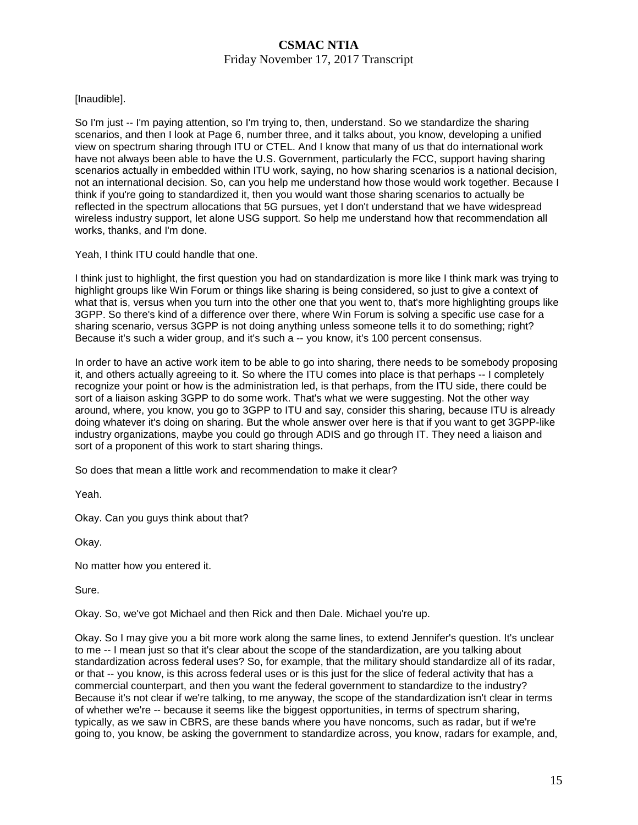### **CSMAC NTIA**  Friday November 17, 2017 Transcript

### [Inaudible].

So I'm just -- I'm paying attention, so I'm trying to, then, understand. So we standardize the sharing scenarios, and then I look at Page 6, number three, and it talks about, you know, developing a unified view on spectrum sharing through ITU or CTEL. And I know that many of us that do international work have not always been able to have the U.S. Government, particularly the FCC, support having sharing scenarios actually in embedded within ITU work, saying, no how sharing scenarios is a national decision, not an international decision. So, can you help me understand how those would work together. Because I think if you're going to standardized it, then you would want those sharing scenarios to actually be reflected in the spectrum allocations that 5G pursues, yet I don't understand that we have widespread wireless industry support, let alone USG support. So help me understand how that recommendation all works, thanks, and I'm done.

Yeah, I think ITU could handle that one.

I think just to highlight, the first question you had on standardization is more like I think mark was trying to highlight groups like Win Forum or things like sharing is being considered, so just to give a context of what that is, versus when you turn into the other one that you went to, that's more highlighting groups like 3GPP. So there's kind of a difference over there, where Win Forum is solving a specific use case for a sharing scenario, versus 3GPP is not doing anything unless someone tells it to do something; right? Because it's such a wider group, and it's such a -- you know, it's 100 percent consensus.

In order to have an active work item to be able to go into sharing, there needs to be somebody proposing it, and others actually agreeing to it. So where the ITU comes into place is that perhaps -- I completely recognize your point or how is the administration led, is that perhaps, from the ITU side, there could be sort of a liaison asking 3GPP to do some work. That's what we were suggesting. Not the other way around, where, you know, you go to 3GPP to ITU and say, consider this sharing, because ITU is already doing whatever it's doing on sharing. But the whole answer over here is that if you want to get 3GPP-like industry organizations, maybe you could go through ADIS and go through IT. They need a liaison and sort of a proponent of this work to start sharing things.

So does that mean a little work and recommendation to make it clear?

Yeah.

Okay. Can you guys think about that?

Okay.

No matter how you entered it.

Sure.

Okay. So, we've got Michael and then Rick and then Dale. Michael you're up.

Okay. So I may give you a bit more work along the same lines, to extend Jennifer's question. It's unclear to me -- I mean just so that it's clear about the scope of the standardization, are you talking about standardization across federal uses? So, for example, that the military should standardize all of its radar, or that -- you know, is this across federal uses or is this just for the slice of federal activity that has a commercial counterpart, and then you want the federal government to standardize to the industry? Because it's not clear if we're talking, to me anyway, the scope of the standardization isn't clear in terms of whether we're -- because it seems like the biggest opportunities, in terms of spectrum sharing, typically, as we saw in CBRS, are these bands where you have noncoms, such as radar, but if we're going to, you know, be asking the government to standardize across, you know, radars for example, and,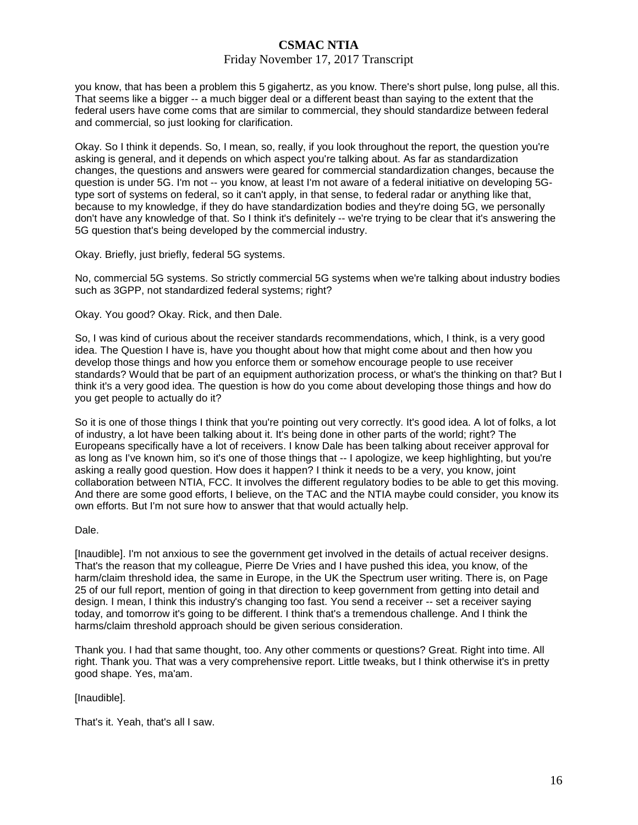### Friday November 17, 2017 Transcript

you know, that has been a problem this 5 gigahertz, as you know. There's short pulse, long pulse, all this. That seems like a bigger -- a much bigger deal or a different beast than saying to the extent that the federal users have come coms that are similar to commercial, they should standardize between federal and commercial, so just looking for clarification.

Okay. So I think it depends. So, I mean, so, really, if you look throughout the report, the question you're asking is general, and it depends on which aspect you're talking about. As far as standardization changes, the questions and answers were geared for commercial standardization changes, because the question is under 5G. I'm not -- you know, at least I'm not aware of a federal initiative on developing 5Gtype sort of systems on federal, so it can't apply, in that sense, to federal radar or anything like that, because to my knowledge, if they do have standardization bodies and they're doing 5G, we personally don't have any knowledge of that. So I think it's definitely -- we're trying to be clear that it's answering the 5G question that's being developed by the commercial industry.

Okay. Briefly, just briefly, federal 5G systems.

No, commercial 5G systems. So strictly commercial 5G systems when we're talking about industry bodies such as 3GPP, not standardized federal systems; right?

Okay. You good? Okay. Rick, and then Dale.

So, I was kind of curious about the receiver standards recommendations, which, I think, is a very good idea. The Question I have is, have you thought about how that might come about and then how you develop those things and how you enforce them or somehow encourage people to use receiver standards? Would that be part of an equipment authorization process, or what's the thinking on that? But I think it's a very good idea. The question is how do you come about developing those things and how do you get people to actually do it?

So it is one of those things I think that you're pointing out very correctly. It's good idea. A lot of folks, a lot of industry, a lot have been talking about it. It's being done in other parts of the world; right? The Europeans specifically have a lot of receivers. I know Dale has been talking about receiver approval for as long as I've known him, so it's one of those things that -- I apologize, we keep highlighting, but you're asking a really good question. How does it happen? I think it needs to be a very, you know, joint collaboration between NTIA, FCC. It involves the different regulatory bodies to be able to get this moving. And there are some good efforts, I believe, on the TAC and the NTIA maybe could consider, you know its own efforts. But I'm not sure how to answer that that would actually help.

#### Dale.

[Inaudible]. I'm not anxious to see the government get involved in the details of actual receiver designs. That's the reason that my colleague, Pierre De Vries and I have pushed this idea, you know, of the harm/claim threshold idea, the same in Europe, in the UK the Spectrum user writing. There is, on Page 25 of our full report, mention of going in that direction to keep government from getting into detail and design. I mean, I think this industry's changing too fast. You send a receiver -- set a receiver saying today, and tomorrow it's going to be different. I think that's a tremendous challenge. And I think the harms/claim threshold approach should be given serious consideration.

Thank you. I had that same thought, too. Any other comments or questions? Great. Right into time. All right. Thank you. That was a very comprehensive report. Little tweaks, but I think otherwise it's in pretty good shape. Yes, ma'am.

[Inaudible].

That's it. Yeah, that's all I saw.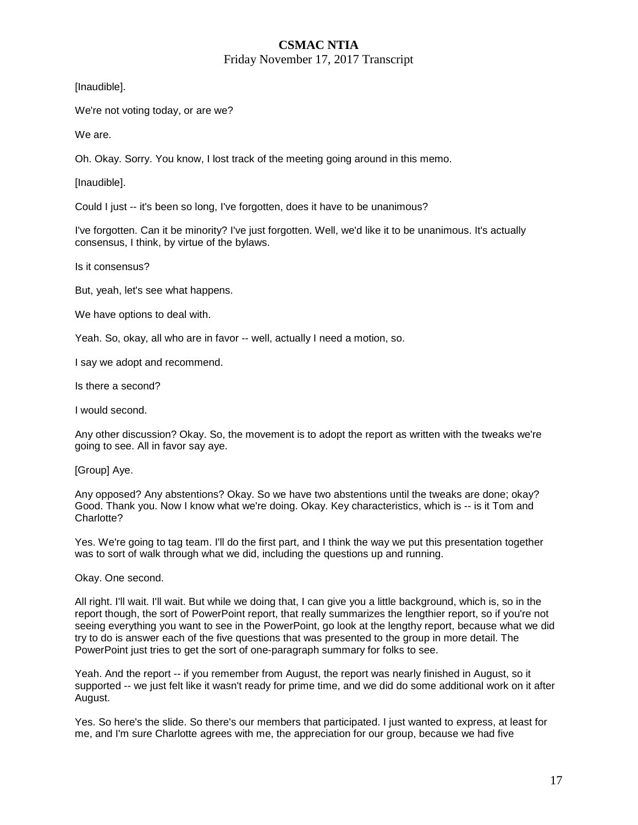### **CSMAC NTIA**  Friday November 17, 2017 Transcript

[Inaudible].

We're not voting today, or are we?

We are.

Oh. Okay. Sorry. You know, I lost track of the meeting going around in this memo.

[Inaudible].

Could I just -- it's been so long, I've forgotten, does it have to be unanimous?

I've forgotten. Can it be minority? I've just forgotten. Well, we'd like it to be unanimous. It's actually consensus, I think, by virtue of the bylaws.

Is it consensus?

But, yeah, let's see what happens.

We have options to deal with.

Yeah. So, okay, all who are in favor -- well, actually I need a motion, so.

I say we adopt and recommend.

Is there a second?

I would second.

Any other discussion? Okay. So, the movement is to adopt the report as written with the tweaks we're going to see. All in favor say aye.

[Group] Aye.

Any opposed? Any abstentions? Okay. So we have two abstentions until the tweaks are done; okay? Good. Thank you. Now I know what we're doing. Okay. Key characteristics, which is -- is it Tom and Charlotte?

Yes. We're going to tag team. I'll do the first part, and I think the way we put this presentation together was to sort of walk through what we did, including the questions up and running.

Okay. One second.

All right. I'll wait. I'll wait. But while we doing that, I can give you a little background, which is, so in the report though, the sort of PowerPoint report, that really summarizes the lengthier report, so if you're not seeing everything you want to see in the PowerPoint, go look at the lengthy report, because what we did try to do is answer each of the five questions that was presented to the group in more detail. The PowerPoint just tries to get the sort of one-paragraph summary for folks to see.

Yeah. And the report -- if you remember from August, the report was nearly finished in August, so it supported -- we just felt like it wasn't ready for prime time, and we did do some additional work on it after August.

Yes. So here's the slide. So there's our members that participated. I just wanted to express, at least for me, and I'm sure Charlotte agrees with me, the appreciation for our group, because we had five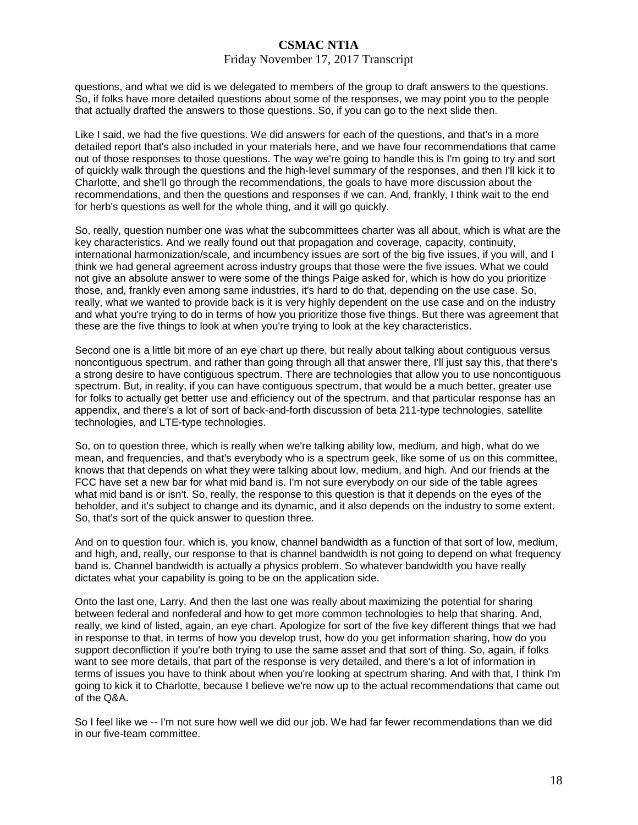#### Friday November 17, 2017 Transcript

questions, and what we did is we delegated to members of the group to draft answers to the questions. So, if folks have more detailed questions about some of the responses, we may point you to the people that actually drafted the answers to those questions. So, if you can go to the next slide then.

Like I said, we had the five questions. We did answers for each of the questions, and that's in a more detailed report that's also included in your materials here, and we have four recommendations that came out of those responses to those questions. The way we're going to handle this is I'm going to try and sort of quickly walk through the questions and the high-level summary of the responses, and then I'll kick it to Charlotte, and she'll go through the recommendations, the goals to have more discussion about the recommendations, and then the questions and responses if we can. And, frankly, I think wait to the end for herb's questions as well for the whole thing, and it will go quickly.

So, really, question number one was what the subcommittees charter was all about, which is what are the key characteristics. And we really found out that propagation and coverage, capacity, continuity, international harmonization/scale, and incumbency issues are sort of the big five issues, if you will, and I think we had general agreement across industry groups that those were the five issues. What we could not give an absolute answer to were some of the things Paige asked for, which is how do you prioritize those, and, frankly even among same industries, it's hard to do that, depending on the use case. So, really, what we wanted to provide back is it is very highly dependent on the use case and on the industry and what you're trying to do in terms of how you prioritize those five things. But there was agreement that these are the five things to look at when you're trying to look at the key characteristics.

Second one is a little bit more of an eye chart up there, but really about talking about contiguous versus noncontiguous spectrum, and rather than going through all that answer there, I'll just say this, that there's a strong desire to have contiguous spectrum. There are technologies that allow you to use noncontiguous spectrum. But, in reality, if you can have contiguous spectrum, that would be a much better, greater use for folks to actually get better use and efficiency out of the spectrum, and that particular response has an appendix, and there's a lot of sort of back-and-forth discussion of beta 211-type technologies, satellite technologies, and LTE-type technologies.

So, on to question three, which is really when we're talking ability low, medium, and high, what do we mean, and frequencies, and that's everybody who is a spectrum geek, like some of us on this committee, knows that that depends on what they were talking about low, medium, and high. And our friends at the FCC have set a new bar for what mid band is. I'm not sure everybody on our side of the table agrees what mid band is or isn't. So, really, the response to this question is that it depends on the eyes of the beholder, and it's subject to change and its dynamic, and it also depends on the industry to some extent. So, that's sort of the quick answer to question three.

And on to question four, which is, you know, channel bandwidth as a function of that sort of low, medium, and high, and, really, our response to that is channel bandwidth is not going to depend on what frequency band is. Channel bandwidth is actually a physics problem. So whatever bandwidth you have really dictates what your capability is going to be on the application side.

Onto the last one, Larry. And then the last one was really about maximizing the potential for sharing between federal and nonfederal and how to get more common technologies to help that sharing. And, really, we kind of listed, again, an eye chart. Apologize for sort of the five key different things that we had in response to that, in terms of how you develop trust, how do you get information sharing, how do you support deconfliction if you're both trying to use the same asset and that sort of thing. So, again, if folks want to see more details, that part of the response is very detailed, and there's a lot of information in terms of issues you have to think about when you're looking at spectrum sharing. And with that, I think I'm going to kick it to Charlotte, because I believe we're now up to the actual recommendations that came out of the Q&A.

So I feel like we -- I'm not sure how well we did our job. We had far fewer recommendations than we did in our five-team committee.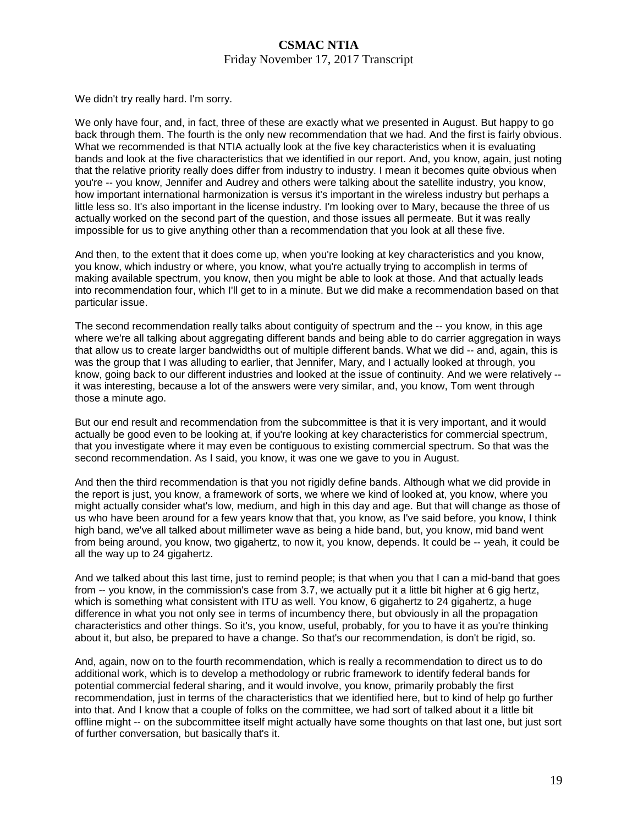### **CSMAC NTIA**  Friday November 17, 2017 Transcript

We didn't try really hard. I'm sorry.

We only have four, and, in fact, three of these are exactly what we presented in August. But happy to go back through them. The fourth is the only new recommendation that we had. And the first is fairly obvious. What we recommended is that NTIA actually look at the five key characteristics when it is evaluating bands and look at the five characteristics that we identified in our report. And, you know, again, just noting that the relative priority really does differ from industry to industry. I mean it becomes quite obvious when you're -- you know, Jennifer and Audrey and others were talking about the satellite industry, you know, how important international harmonization is versus it's important in the wireless industry but perhaps a little less so. It's also important in the license industry. I'm looking over to Mary, because the three of us actually worked on the second part of the question, and those issues all permeate. But it was really impossible for us to give anything other than a recommendation that you look at all these five.

And then, to the extent that it does come up, when you're looking at key characteristics and you know, you know, which industry or where, you know, what you're actually trying to accomplish in terms of making available spectrum, you know, then you might be able to look at those. And that actually leads into recommendation four, which I'll get to in a minute. But we did make a recommendation based on that particular issue.

The second recommendation really talks about contiguity of spectrum and the -- you know, in this age where we're all talking about aggregating different bands and being able to do carrier aggregation in ways that allow us to create larger bandwidths out of multiple different bands. What we did -- and, again, this is was the group that I was alluding to earlier, that Jennifer, Mary, and I actually looked at through, you know, going back to our different industries and looked at the issue of continuity. And we were relatively - it was interesting, because a lot of the answers were very similar, and, you know, Tom went through those a minute ago.

But our end result and recommendation from the subcommittee is that it is very important, and it would actually be good even to be looking at, if you're looking at key characteristics for commercial spectrum, that you investigate where it may even be contiguous to existing commercial spectrum. So that was the second recommendation. As I said, you know, it was one we gave to you in August.

And then the third recommendation is that you not rigidly define bands. Although what we did provide in the report is just, you know, a framework of sorts, we where we kind of looked at, you know, where you might actually consider what's low, medium, and high in this day and age. But that will change as those of us who have been around for a few years know that that, you know, as I've said before, you know, I think high band, we've all talked about millimeter wave as being a hide band, but, you know, mid band went from being around, you know, two gigahertz, to now it, you know, depends. It could be -- yeah, it could be all the way up to 24 gigahertz.

And we talked about this last time, just to remind people; is that when you that I can a mid-band that goes from -- you know, in the commission's case from 3.7, we actually put it a little bit higher at 6 gig hertz, which is something what consistent with ITU as well. You know, 6 gigahertz to 24 gigahertz, a huge difference in what you not only see in terms of incumbency there, but obviously in all the propagation characteristics and other things. So it's, you know, useful, probably, for you to have it as you're thinking about it, but also, be prepared to have a change. So that's our recommendation, is don't be rigid, so.

And, again, now on to the fourth recommendation, which is really a recommendation to direct us to do additional work, which is to develop a methodology or rubric framework to identify federal bands for potential commercial federal sharing, and it would involve, you know, primarily probably the first recommendation, just in terms of the characteristics that we identified here, but to kind of help go further into that. And I know that a couple of folks on the committee, we had sort of talked about it a little bit offline might -- on the subcommittee itself might actually have some thoughts on that last one, but just sort of further conversation, but basically that's it.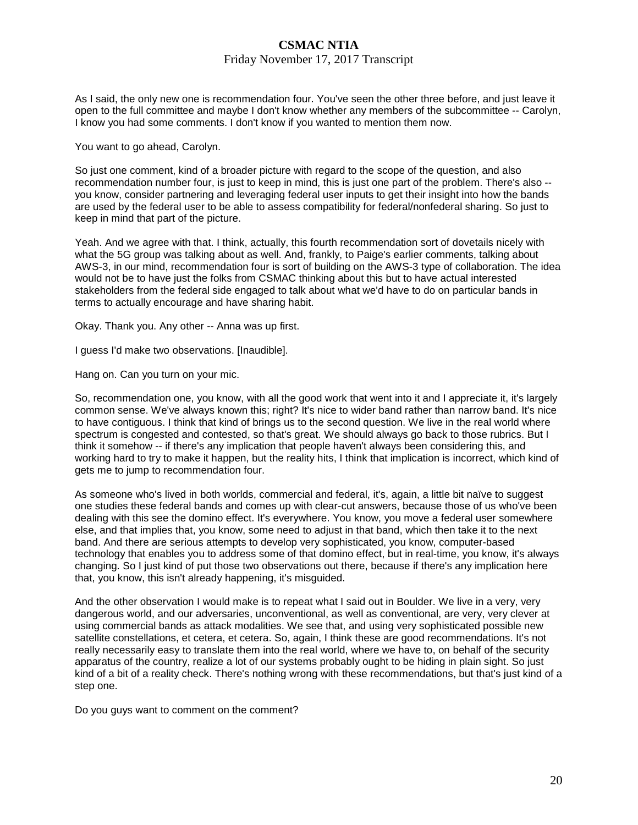### Friday November 17, 2017 Transcript

As I said, the only new one is recommendation four. You've seen the other three before, and just leave it open to the full committee and maybe I don't know whether any members of the subcommittee -- Carolyn, I know you had some comments. I don't know if you wanted to mention them now.

You want to go ahead, Carolyn.

So just one comment, kind of a broader picture with regard to the scope of the question, and also recommendation number four, is just to keep in mind, this is just one part of the problem. There's also - you know, consider partnering and leveraging federal user inputs to get their insight into how the bands are used by the federal user to be able to assess compatibility for federal/nonfederal sharing. So just to keep in mind that part of the picture.

Yeah. And we agree with that. I think, actually, this fourth recommendation sort of dovetails nicely with what the 5G group was talking about as well. And, frankly, to Paige's earlier comments, talking about AWS-3, in our mind, recommendation four is sort of building on the AWS-3 type of collaboration. The idea would not be to have just the folks from CSMAC thinking about this but to have actual interested stakeholders from the federal side engaged to talk about what we'd have to do on particular bands in terms to actually encourage and have sharing habit.

Okay. Thank you. Any other -- Anna was up first.

I guess I'd make two observations. [Inaudible].

Hang on. Can you turn on your mic.

So, recommendation one, you know, with all the good work that went into it and I appreciate it, it's largely common sense. We've always known this; right? It's nice to wider band rather than narrow band. It's nice to have contiguous. I think that kind of brings us to the second question. We live in the real world where spectrum is congested and contested, so that's great. We should always go back to those rubrics. But I think it somehow -- if there's any implication that people haven't always been considering this, and working hard to try to make it happen, but the reality hits, I think that implication is incorrect, which kind of gets me to jump to recommendation four.

As someone who's lived in both worlds, commercial and federal, it's, again, a little bit naïve to suggest one studies these federal bands and comes up with clear-cut answers, because those of us who've been dealing with this see the domino effect. It's everywhere. You know, you move a federal user somewhere else, and that implies that, you know, some need to adjust in that band, which then take it to the next band. And there are serious attempts to develop very sophisticated, you know, computer-based technology that enables you to address some of that domino effect, but in real-time, you know, it's always changing. So I just kind of put those two observations out there, because if there's any implication here that, you know, this isn't already happening, it's misguided.

And the other observation I would make is to repeat what I said out in Boulder. We live in a very, very dangerous world, and our adversaries, unconventional, as well as conventional, are very, very clever at using commercial bands as attack modalities. We see that, and using very sophisticated possible new satellite constellations, et cetera, et cetera. So, again, I think these are good recommendations. It's not really necessarily easy to translate them into the real world, where we have to, on behalf of the security apparatus of the country, realize a lot of our systems probably ought to be hiding in plain sight. So just kind of a bit of a reality check. There's nothing wrong with these recommendations, but that's just kind of a step one.

Do you guys want to comment on the comment?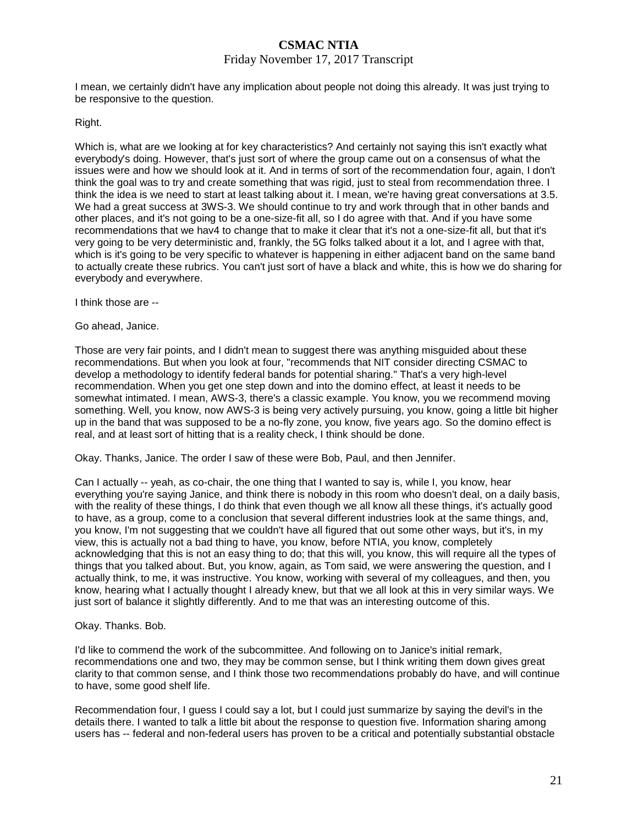### Friday November 17, 2017 Transcript

I mean, we certainly didn't have any implication about people not doing this already. It was just trying to be responsive to the question.

#### Right.

Which is, what are we looking at for key characteristics? And certainly not saying this isn't exactly what everybody's doing. However, that's just sort of where the group came out on a consensus of what the issues were and how we should look at it. And in terms of sort of the recommendation four, again, I don't think the goal was to try and create something that was rigid, just to steal from recommendation three. I think the idea is we need to start at least talking about it. I mean, we're having great conversations at 3.5. We had a great success at 3WS-3. We should continue to try and work through that in other bands and other places, and it's not going to be a one-size-fit all, so I do agree with that. And if you have some recommendations that we hav4 to change that to make it clear that it's not a one-size-fit all, but that it's very going to be very deterministic and, frankly, the 5G folks talked about it a lot, and I agree with that, which is it's going to be very specific to whatever is happening in either adjacent band on the same band to actually create these rubrics. You can't just sort of have a black and white, this is how we do sharing for everybody and everywhere.

I think those are --

Go ahead, Janice.

Those are very fair points, and I didn't mean to suggest there was anything misguided about these recommendations. But when you look at four, "recommends that NIT consider directing CSMAC to develop a methodology to identify federal bands for potential sharing." That's a very high-level recommendation. When you get one step down and into the domino effect, at least it needs to be somewhat intimated. I mean, AWS-3, there's a classic example. You know, you we recommend moving something. Well, you know, now AWS-3 is being very actively pursuing, you know, going a little bit higher up in the band that was supposed to be a no-fly zone, you know, five years ago. So the domino effect is real, and at least sort of hitting that is a reality check, I think should be done.

Okay. Thanks, Janice. The order I saw of these were Bob, Paul, and then Jennifer.

Can I actually -- yeah, as co-chair, the one thing that I wanted to say is, while I, you know, hear everything you're saying Janice, and think there is nobody in this room who doesn't deal, on a daily basis, with the reality of these things, I do think that even though we all know all these things, it's actually good to have, as a group, come to a conclusion that several different industries look at the same things, and, you know, I'm not suggesting that we couldn't have all figured that out some other ways, but it's, in my view, this is actually not a bad thing to have, you know, before NTIA, you know, completely acknowledging that this is not an easy thing to do; that this will, you know, this will require all the types of things that you talked about. But, you know, again, as Tom said, we were answering the question, and I actually think, to me, it was instructive. You know, working with several of my colleagues, and then, you know, hearing what I actually thought I already knew, but that we all look at this in very similar ways. We just sort of balance it slightly differently. And to me that was an interesting outcome of this.

#### Okay. Thanks. Bob.

I'd like to commend the work of the subcommittee. And following on to Janice's initial remark, recommendations one and two, they may be common sense, but I think writing them down gives great clarity to that common sense, and I think those two recommendations probably do have, and will continue to have, some good shelf life.

Recommendation four, I guess I could say a lot, but I could just summarize by saying the devil's in the details there. I wanted to talk a little bit about the response to question five. Information sharing among users has -- federal and non-federal users has proven to be a critical and potentially substantial obstacle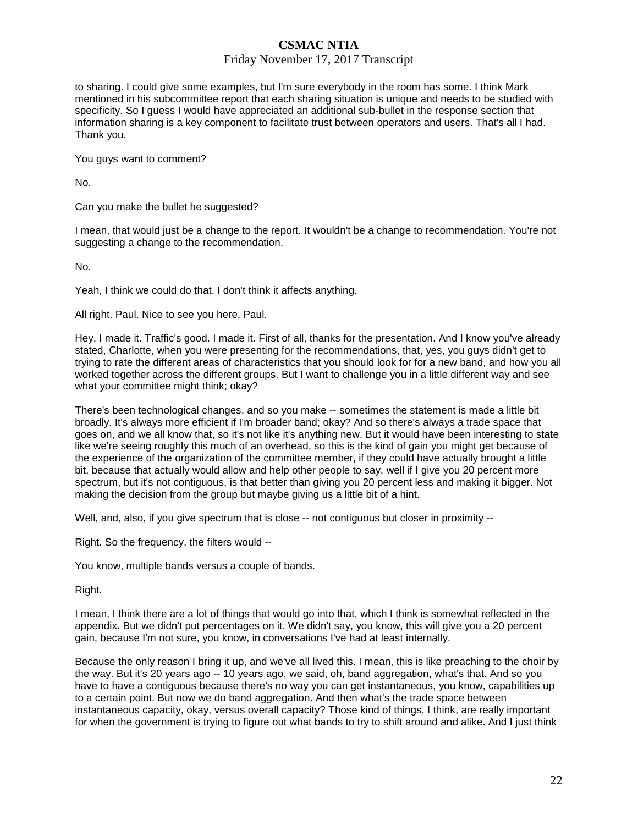### Friday November 17, 2017 Transcript

to sharing. I could give some examples, but I'm sure everybody in the room has some. I think Mark mentioned in his subcommittee report that each sharing situation is unique and needs to be studied with specificity. So I guess I would have appreciated an additional sub-bullet in the response section that information sharing is a key component to facilitate trust between operators and users. That's all I had. Thank you.

You guys want to comment?

No.

Can you make the bullet he suggested?

I mean, that would just be a change to the report. It wouldn't be a change to recommendation. You're not suggesting a change to the recommendation.

No.

Yeah, I think we could do that. I don't think it affects anything.

All right. Paul. Nice to see you here, Paul.

Hey, I made it. Traffic's good. I made it. First of all, thanks for the presentation. And I know you've already stated, Charlotte, when you were presenting for the recommendations, that, yes, you guys didn't get to trying to rate the different areas of characteristics that you should look for for a new band, and how you all worked together across the different groups. But I want to challenge you in a little different way and see what your committee might think; okay?

There's been technological changes, and so you make -- sometimes the statement is made a little bit broadly. It's always more efficient if I'm broader band; okay? And so there's always a trade space that goes on, and we all know that, so it's not like it's anything new. But it would have been interesting to state like we're seeing roughly this much of an overhead, so this is the kind of gain you might get because of the experience of the organization of the committee member, if they could have actually brought a little bit, because that actually would allow and help other people to say, well if I give you 20 percent more spectrum, but it's not contiguous, is that better than giving you 20 percent less and making it bigger. Not making the decision from the group but maybe giving us a little bit of a hint.

Well, and, also, if you give spectrum that is close -- not contiguous but closer in proximity --

Right. So the frequency, the filters would --

You know, multiple bands versus a couple of bands.

Right.

I mean, I think there are a lot of things that would go into that, which I think is somewhat reflected in the appendix. But we didn't put percentages on it. We didn't say, you know, this will give you a 20 percent gain, because I'm not sure, you know, in conversations I've had at least internally.

Because the only reason I bring it up, and we've all lived this. I mean, this is like preaching to the choir by the way. But it's 20 years ago -- 10 years ago, we said, oh, band aggregation, what's that. And so you have to have a contiguous because there's no way you can get instantaneous, you know, capabilities up to a certain point. But now we do band aggregation. And then what's the trade space between instantaneous capacity, okay, versus overall capacity? Those kind of things, I think, are really important for when the government is trying to figure out what bands to try to shift around and alike. And I just think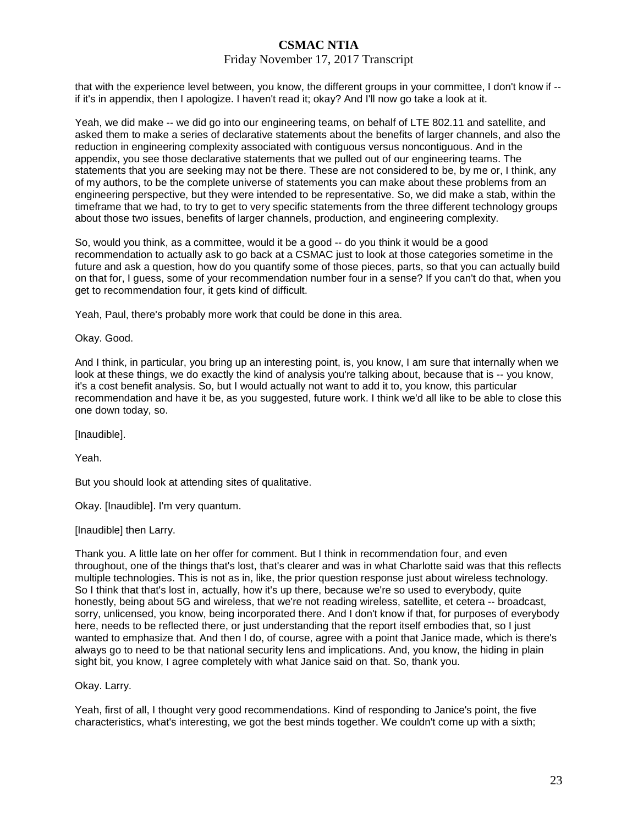#### Friday November 17, 2017 Transcript

that with the experience level between, you know, the different groups in your committee, I don't know if - if it's in appendix, then I apologize. I haven't read it; okay? And I'll now go take a look at it.

Yeah, we did make -- we did go into our engineering teams, on behalf of LTE 802.11 and satellite, and asked them to make a series of declarative statements about the benefits of larger channels, and also the reduction in engineering complexity associated with contiguous versus noncontiguous. And in the appendix, you see those declarative statements that we pulled out of our engineering teams. The statements that you are seeking may not be there. These are not considered to be, by me or, I think, any of my authors, to be the complete universe of statements you can make about these problems from an engineering perspective, but they were intended to be representative. So, we did make a stab, within the timeframe that we had, to try to get to very specific statements from the three different technology groups about those two issues, benefits of larger channels, production, and engineering complexity.

So, would you think, as a committee, would it be a good -- do you think it would be a good recommendation to actually ask to go back at a CSMAC just to look at those categories sometime in the future and ask a question, how do you quantify some of those pieces, parts, so that you can actually build on that for, I guess, some of your recommendation number four in a sense? If you can't do that, when you get to recommendation four, it gets kind of difficult.

Yeah, Paul, there's probably more work that could be done in this area.

Okay. Good.

And I think, in particular, you bring up an interesting point, is, you know, I am sure that internally when we look at these things, we do exactly the kind of analysis you're talking about, because that is -- you know, it's a cost benefit analysis. So, but I would actually not want to add it to, you know, this particular recommendation and have it be, as you suggested, future work. I think we'd all like to be able to close this one down today, so.

[Inaudible].

Yeah.

But you should look at attending sites of qualitative.

Okay. [Inaudible]. I'm very quantum.

[Inaudible] then Larry.

Thank you. A little late on her offer for comment. But I think in recommendation four, and even throughout, one of the things that's lost, that's clearer and was in what Charlotte said was that this reflects multiple technologies. This is not as in, like, the prior question response just about wireless technology. So I think that that's lost in, actually, how it's up there, because we're so used to everybody, quite honestly, being about 5G and wireless, that we're not reading wireless, satellite, et cetera -- broadcast, sorry, unlicensed, you know, being incorporated there. And I don't know if that, for purposes of everybody here, needs to be reflected there, or just understanding that the report itself embodies that, so I just wanted to emphasize that. And then I do, of course, agree with a point that Janice made, which is there's always go to need to be that national security lens and implications. And, you know, the hiding in plain sight bit, you know, I agree completely with what Janice said on that. So, thank you.

Okay. Larry.

Yeah, first of all, I thought very good recommendations. Kind of responding to Janice's point, the five characteristics, what's interesting, we got the best minds together. We couldn't come up with a sixth;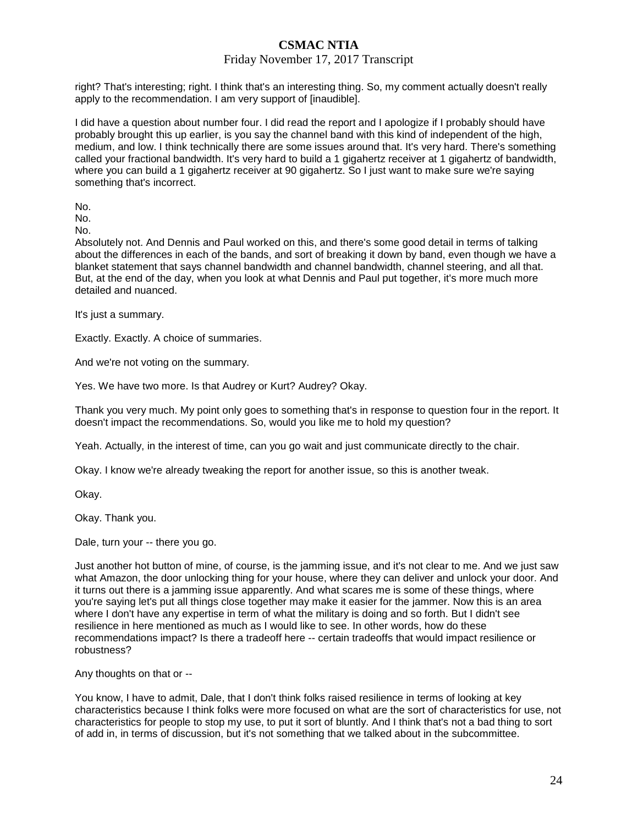### Friday November 17, 2017 Transcript

right? That's interesting; right. I think that's an interesting thing. So, my comment actually doesn't really apply to the recommendation. I am very support of [inaudible].

I did have a question about number four. I did read the report and I apologize if I probably should have probably brought this up earlier, is you say the channel band with this kind of independent of the high, medium, and low. I think technically there are some issues around that. It's very hard. There's something called your fractional bandwidth. It's very hard to build a 1 gigahertz receiver at 1 gigahertz of bandwidth, where you can build a 1 gigahertz receiver at 90 gigahertz. So I just want to make sure we're saying something that's incorrect.

No.

No.

No.

Absolutely not. And Dennis and Paul worked on this, and there's some good detail in terms of talking about the differences in each of the bands, and sort of breaking it down by band, even though we have a blanket statement that says channel bandwidth and channel bandwidth, channel steering, and all that. But, at the end of the day, when you look at what Dennis and Paul put together, it's more much more detailed and nuanced.

It's just a summary.

Exactly. Exactly. A choice of summaries.

And we're not voting on the summary.

Yes. We have two more. Is that Audrey or Kurt? Audrey? Okay.

Thank you very much. My point only goes to something that's in response to question four in the report. It doesn't impact the recommendations. So, would you like me to hold my question?

Yeah. Actually, in the interest of time, can you go wait and just communicate directly to the chair.

Okay. I know we're already tweaking the report for another issue, so this is another tweak.

Okay.

Okay. Thank you.

Dale, turn your -- there you go.

Just another hot button of mine, of course, is the jamming issue, and it's not clear to me. And we just saw what Amazon, the door unlocking thing for your house, where they can deliver and unlock your door. And it turns out there is a jamming issue apparently. And what scares me is some of these things, where you're saying let's put all things close together may make it easier for the jammer. Now this is an area where I don't have any expertise in term of what the military is doing and so forth. But I didn't see resilience in here mentioned as much as I would like to see. In other words, how do these recommendations impact? Is there a tradeoff here -- certain tradeoffs that would impact resilience or robustness?

Any thoughts on that or --

You know, I have to admit, Dale, that I don't think folks raised resilience in terms of looking at key characteristics because I think folks were more focused on what are the sort of characteristics for use, not characteristics for people to stop my use, to put it sort of bluntly. And I think that's not a bad thing to sort of add in, in terms of discussion, but it's not something that we talked about in the subcommittee.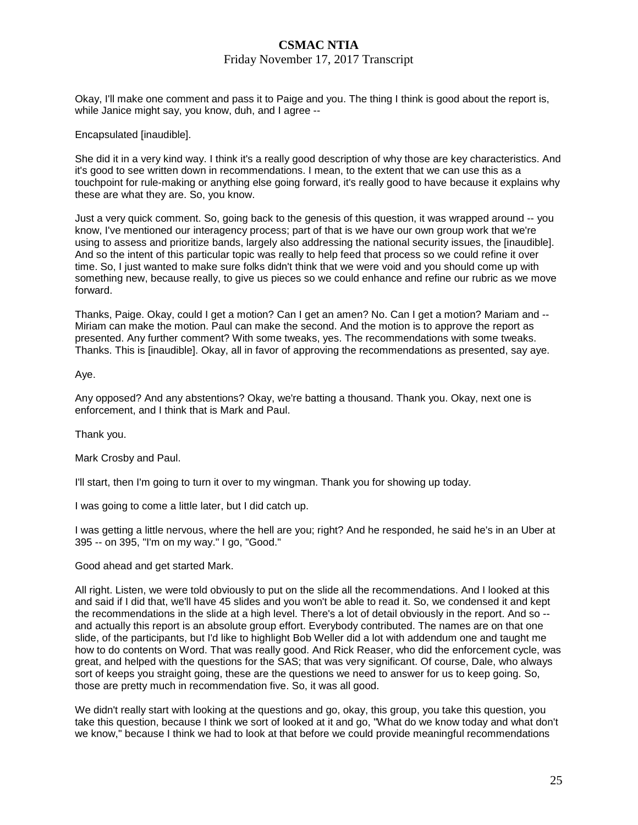### Friday November 17, 2017 Transcript

Okay, I'll make one comment and pass it to Paige and you. The thing I think is good about the report is, while Janice might say, you know, duh, and I agree --

Encapsulated [inaudible].

She did it in a very kind way. I think it's a really good description of why those are key characteristics. And it's good to see written down in recommendations. I mean, to the extent that we can use this as a touchpoint for rule-making or anything else going forward, it's really good to have because it explains why these are what they are. So, you know.

Just a very quick comment. So, going back to the genesis of this question, it was wrapped around -- you know, I've mentioned our interagency process; part of that is we have our own group work that we're using to assess and prioritize bands, largely also addressing the national security issues, the [inaudible]. And so the intent of this particular topic was really to help feed that process so we could refine it over time. So, I just wanted to make sure folks didn't think that we were void and you should come up with something new, because really, to give us pieces so we could enhance and refine our rubric as we move forward.

Thanks, Paige. Okay, could I get a motion? Can I get an amen? No. Can I get a motion? Mariam and -- Miriam can make the motion. Paul can make the second. And the motion is to approve the report as presented. Any further comment? With some tweaks, yes. The recommendations with some tweaks. Thanks. This is [inaudible]. Okay, all in favor of approving the recommendations as presented, say aye.

Aye.

Any opposed? And any abstentions? Okay, we're batting a thousand. Thank you. Okay, next one is enforcement, and I think that is Mark and Paul.

Thank you.

Mark Crosby and Paul.

I'll start, then I'm going to turn it over to my wingman. Thank you for showing up today.

I was going to come a little later, but I did catch up.

I was getting a little nervous, where the hell are you; right? And he responded, he said he's in an Uber at 395 -- on 395, "I'm on my way." I go, "Good."

Good ahead and get started Mark.

All right. Listen, we were told obviously to put on the slide all the recommendations. And I looked at this and said if I did that, we'll have 45 slides and you won't be able to read it. So, we condensed it and kept the recommendations in the slide at a high level. There's a lot of detail obviously in the report. And so - and actually this report is an absolute group effort. Everybody contributed. The names are on that one slide, of the participants, but I'd like to highlight Bob Weller did a lot with addendum one and taught me how to do contents on Word. That was really good. And Rick Reaser, who did the enforcement cycle, was great, and helped with the questions for the SAS; that was very significant. Of course, Dale, who always sort of keeps you straight going, these are the questions we need to answer for us to keep going. So, those are pretty much in recommendation five. So, it was all good.

We didn't really start with looking at the questions and go, okay, this group, you take this question, you take this question, because I think we sort of looked at it and go, "What do we know today and what don't we know," because I think we had to look at that before we could provide meaningful recommendations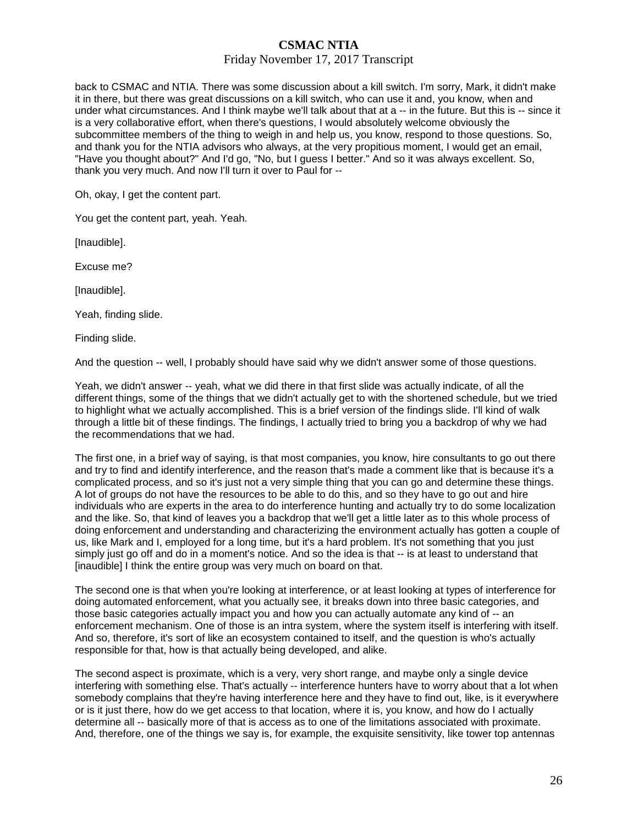### Friday November 17, 2017 Transcript

back to CSMAC and NTIA. There was some discussion about a kill switch. I'm sorry, Mark, it didn't make it in there, but there was great discussions on a kill switch, who can use it and, you know, when and under what circumstances. And I think maybe we'll talk about that at a -- in the future. But this is -- since it is a very collaborative effort, when there's questions, I would absolutely welcome obviously the subcommittee members of the thing to weigh in and help us, you know, respond to those questions. So, and thank you for the NTIA advisors who always, at the very propitious moment, I would get an email, "Have you thought about?" And I'd go, "No, but I guess I better." And so it was always excellent. So, thank you very much. And now I'll turn it over to Paul for --

Oh, okay, I get the content part.

You get the content part, yeah. Yeah.

[Inaudible].

Excuse me?

[Inaudible].

Yeah, finding slide.

Finding slide.

And the question -- well, I probably should have said why we didn't answer some of those questions.

Yeah, we didn't answer -- yeah, what we did there in that first slide was actually indicate, of all the different things, some of the things that we didn't actually get to with the shortened schedule, but we tried to highlight what we actually accomplished. This is a brief version of the findings slide. I'll kind of walk through a little bit of these findings. The findings, I actually tried to bring you a backdrop of why we had the recommendations that we had.

The first one, in a brief way of saying, is that most companies, you know, hire consultants to go out there and try to find and identify interference, and the reason that's made a comment like that is because it's a complicated process, and so it's just not a very simple thing that you can go and determine these things. A lot of groups do not have the resources to be able to do this, and so they have to go out and hire individuals who are experts in the area to do interference hunting and actually try to do some localization and the like. So, that kind of leaves you a backdrop that we'll get a little later as to this whole process of doing enforcement and understanding and characterizing the environment actually has gotten a couple of us, like Mark and I, employed for a long time, but it's a hard problem. It's not something that you just simply just go off and do in a moment's notice. And so the idea is that -- is at least to understand that [inaudible] I think the entire group was very much on board on that.

The second one is that when you're looking at interference, or at least looking at types of interference for doing automated enforcement, what you actually see, it breaks down into three basic categories, and those basic categories actually impact you and how you can actually automate any kind of -- an enforcement mechanism. One of those is an intra system, where the system itself is interfering with itself. And so, therefore, it's sort of like an ecosystem contained to itself, and the question is who's actually responsible for that, how is that actually being developed, and alike.

The second aspect is proximate, which is a very, very short range, and maybe only a single device interfering with something else. That's actually -- interference hunters have to worry about that a lot when somebody complains that they're having interference here and they have to find out, like, is it everywhere or is it just there, how do we get access to that location, where it is, you know, and how do I actually determine all -- basically more of that is access as to one of the limitations associated with proximate. And, therefore, one of the things we say is, for example, the exquisite sensitivity, like tower top antennas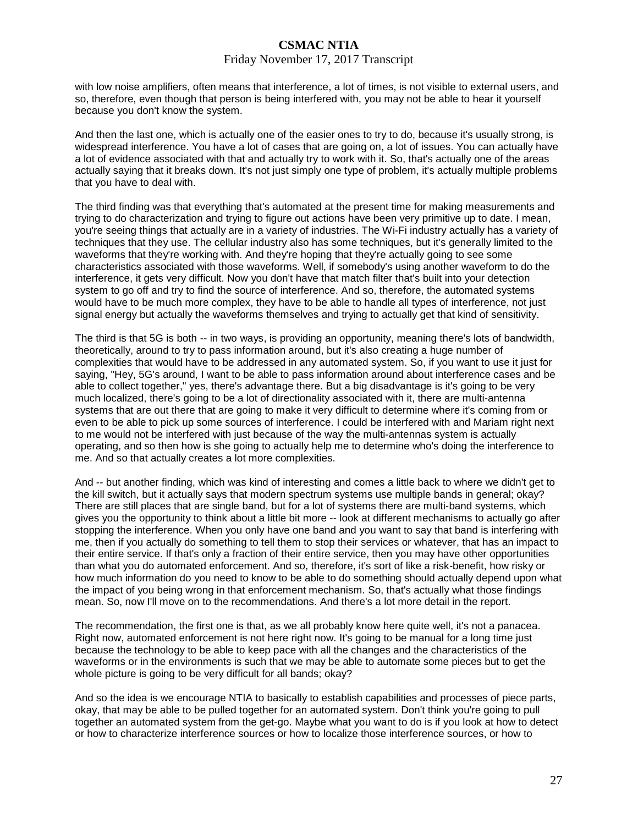#### Friday November 17, 2017 Transcript

with low noise amplifiers, often means that interference, a lot of times, is not visible to external users, and so, therefore, even though that person is being interfered with, you may not be able to hear it yourself because you don't know the system.

And then the last one, which is actually one of the easier ones to try to do, because it's usually strong, is widespread interference. You have a lot of cases that are going on, a lot of issues. You can actually have a lot of evidence associated with that and actually try to work with it. So, that's actually one of the areas actually saying that it breaks down. It's not just simply one type of problem, it's actually multiple problems that you have to deal with.

The third finding was that everything that's automated at the present time for making measurements and trying to do characterization and trying to figure out actions have been very primitive up to date. I mean, you're seeing things that actually are in a variety of industries. The Wi-Fi industry actually has a variety of techniques that they use. The cellular industry also has some techniques, but it's generally limited to the waveforms that they're working with. And they're hoping that they're actually going to see some characteristics associated with those waveforms. Well, if somebody's using another waveform to do the interference, it gets very difficult. Now you don't have that match filter that's built into your detection system to go off and try to find the source of interference. And so, therefore, the automated systems would have to be much more complex, they have to be able to handle all types of interference, not just signal energy but actually the waveforms themselves and trying to actually get that kind of sensitivity.

The third is that 5G is both -- in two ways, is providing an opportunity, meaning there's lots of bandwidth, theoretically, around to try to pass information around, but it's also creating a huge number of complexities that would have to be addressed in any automated system. So, if you want to use it just for saying, "Hey, 5G's around, I want to be able to pass information around about interference cases and be able to collect together," yes, there's advantage there. But a big disadvantage is it's going to be very much localized, there's going to be a lot of directionality associated with it, there are multi-antenna systems that are out there that are going to make it very difficult to determine where it's coming from or even to be able to pick up some sources of interference. I could be interfered with and Mariam right next to me would not be interfered with just because of the way the multi-antennas system is actually operating, and so then how is she going to actually help me to determine who's doing the interference to me. And so that actually creates a lot more complexities.

And -- but another finding, which was kind of interesting and comes a little back to where we didn't get to the kill switch, but it actually says that modern spectrum systems use multiple bands in general; okay? There are still places that are single band, but for a lot of systems there are multi-band systems, which gives you the opportunity to think about a little bit more -- look at different mechanisms to actually go after stopping the interference. When you only have one band and you want to say that band is interfering with me, then if you actually do something to tell them to stop their services or whatever, that has an impact to their entire service. If that's only a fraction of their entire service, then you may have other opportunities than what you do automated enforcement. And so, therefore, it's sort of like a risk-benefit, how risky or how much information do you need to know to be able to do something should actually depend upon what the impact of you being wrong in that enforcement mechanism. So, that's actually what those findings mean. So, now I'll move on to the recommendations. And there's a lot more detail in the report.

The recommendation, the first one is that, as we all probably know here quite well, it's not a panacea. Right now, automated enforcement is not here right now. It's going to be manual for a long time just because the technology to be able to keep pace with all the changes and the characteristics of the waveforms or in the environments is such that we may be able to automate some pieces but to get the whole picture is going to be very difficult for all bands; okay?

And so the idea is we encourage NTIA to basically to establish capabilities and processes of piece parts, okay, that may be able to be pulled together for an automated system. Don't think you're going to pull together an automated system from the get-go. Maybe what you want to do is if you look at how to detect or how to characterize interference sources or how to localize those interference sources, or how to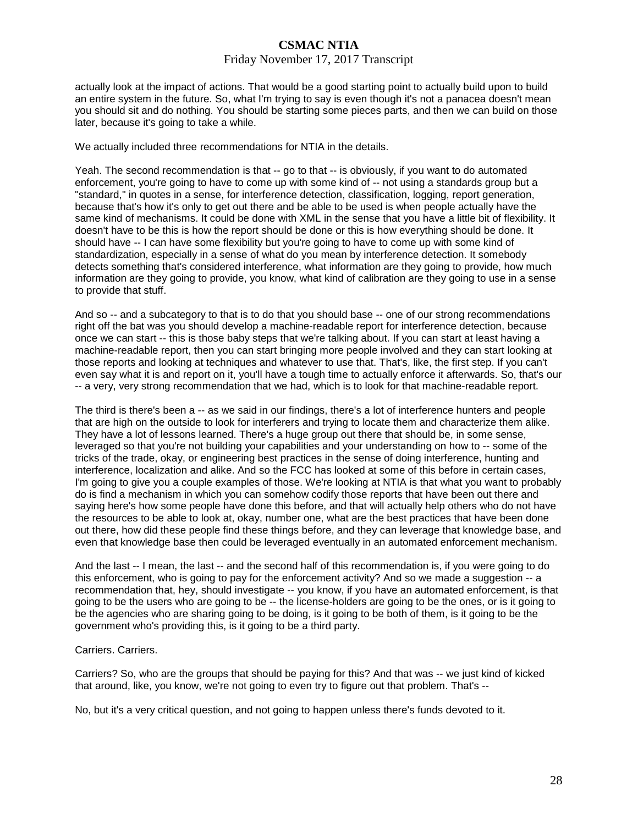### Friday November 17, 2017 Transcript

actually look at the impact of actions. That would be a good starting point to actually build upon to build an entire system in the future. So, what I'm trying to say is even though it's not a panacea doesn't mean you should sit and do nothing. You should be starting some pieces parts, and then we can build on those later, because it's going to take a while.

We actually included three recommendations for NTIA in the details.

Yeah. The second recommendation is that -- go to that -- is obviously, if you want to do automated enforcement, you're going to have to come up with some kind of -- not using a standards group but a "standard," in quotes in a sense, for interference detection, classification, logging, report generation, because that's how it's only to get out there and be able to be used is when people actually have the same kind of mechanisms. It could be done with XML in the sense that you have a little bit of flexibility. It doesn't have to be this is how the report should be done or this is how everything should be done. It should have -- I can have some flexibility but you're going to have to come up with some kind of standardization, especially in a sense of what do you mean by interference detection. It somebody detects something that's considered interference, what information are they going to provide, how much information are they going to provide, you know, what kind of calibration are they going to use in a sense to provide that stuff.

And so -- and a subcategory to that is to do that you should base -- one of our strong recommendations right off the bat was you should develop a machine-readable report for interference detection, because once we can start -- this is those baby steps that we're talking about. If you can start at least having a machine-readable report, then you can start bringing more people involved and they can start looking at those reports and looking at techniques and whatever to use that. That's, like, the first step. If you can't even say what it is and report on it, you'll have a tough time to actually enforce it afterwards. So, that's our -- a very, very strong recommendation that we had, which is to look for that machine-readable report.

The third is there's been a -- as we said in our findings, there's a lot of interference hunters and people that are high on the outside to look for interferers and trying to locate them and characterize them alike. They have a lot of lessons learned. There's a huge group out there that should be, in some sense, leveraged so that you're not building your capabilities and your understanding on how to -- some of the tricks of the trade, okay, or engineering best practices in the sense of doing interference, hunting and interference, localization and alike. And so the FCC has looked at some of this before in certain cases, I'm going to give you a couple examples of those. We're looking at NTIA is that what you want to probably do is find a mechanism in which you can somehow codify those reports that have been out there and saying here's how some people have done this before, and that will actually help others who do not have the resources to be able to look at, okay, number one, what are the best practices that have been done out there, how did these people find these things before, and they can leverage that knowledge base, and even that knowledge base then could be leveraged eventually in an automated enforcement mechanism.

And the last -- I mean, the last -- and the second half of this recommendation is, if you were going to do this enforcement, who is going to pay for the enforcement activity? And so we made a suggestion -- a recommendation that, hey, should investigate -- you know, if you have an automated enforcement, is that going to be the users who are going to be -- the license-holders are going to be the ones, or is it going to be the agencies who are sharing going to be doing, is it going to be both of them, is it going to be the government who's providing this, is it going to be a third party.

### Carriers. Carriers.

Carriers? So, who are the groups that should be paying for this? And that was -- we just kind of kicked that around, like, you know, we're not going to even try to figure out that problem. That's --

No, but it's a very critical question, and not going to happen unless there's funds devoted to it.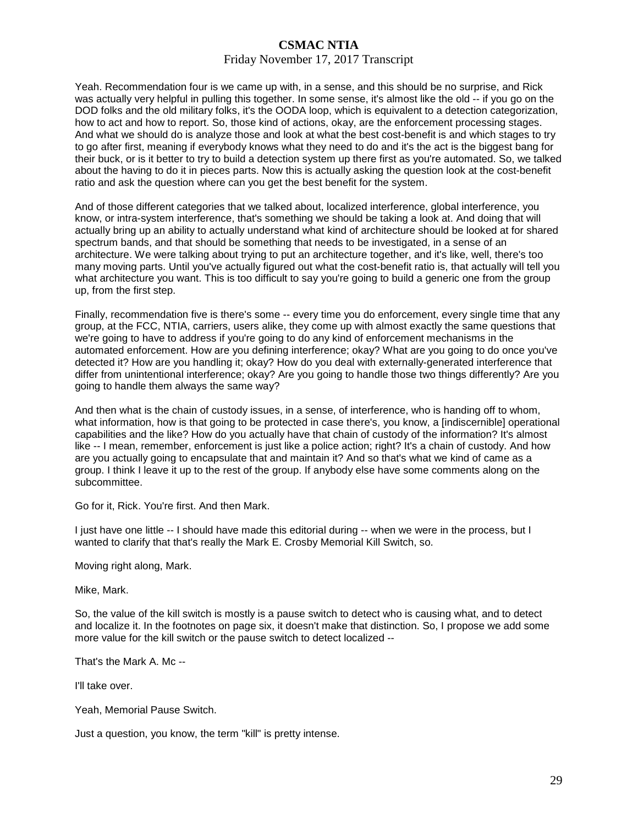### Friday November 17, 2017 Transcript

Yeah. Recommendation four is we came up with, in a sense, and this should be no surprise, and Rick was actually very helpful in pulling this together. In some sense, it's almost like the old -- if you go on the DOD folks and the old military folks, it's the OODA loop, which is equivalent to a detection categorization, how to act and how to report. So, those kind of actions, okay, are the enforcement processing stages. And what we should do is analyze those and look at what the best cost-benefit is and which stages to try to go after first, meaning if everybody knows what they need to do and it's the act is the biggest bang for their buck, or is it better to try to build a detection system up there first as you're automated. So, we talked about the having to do it in pieces parts. Now this is actually asking the question look at the cost-benefit ratio and ask the question where can you get the best benefit for the system.

And of those different categories that we talked about, localized interference, global interference, you know, or intra-system interference, that's something we should be taking a look at. And doing that will actually bring up an ability to actually understand what kind of architecture should be looked at for shared spectrum bands, and that should be something that needs to be investigated, in a sense of an architecture. We were talking about trying to put an architecture together, and it's like, well, there's too many moving parts. Until you've actually figured out what the cost-benefit ratio is, that actually will tell you what architecture you want. This is too difficult to say you're going to build a generic one from the group up, from the first step.

Finally, recommendation five is there's some -- every time you do enforcement, every single time that any group, at the FCC, NTIA, carriers, users alike, they come up with almost exactly the same questions that we're going to have to address if you're going to do any kind of enforcement mechanisms in the automated enforcement. How are you defining interference; okay? What are you going to do once you've detected it? How are you handling it; okay? How do you deal with externally-generated interference that differ from unintentional interference; okay? Are you going to handle those two things differently? Are you going to handle them always the same way?

And then what is the chain of custody issues, in a sense, of interference, who is handing off to whom, what information, how is that going to be protected in case there's, you know, a [indiscernible] operational capabilities and the like? How do you actually have that chain of custody of the information? It's almost like -- I mean, remember, enforcement is just like a police action; right? It's a chain of custody. And how are you actually going to encapsulate that and maintain it? And so that's what we kind of came as a group. I think I leave it up to the rest of the group. If anybody else have some comments along on the subcommittee.

Go for it, Rick. You're first. And then Mark.

I just have one little -- I should have made this editorial during -- when we were in the process, but I wanted to clarify that that's really the Mark E. Crosby Memorial Kill Switch, so.

Moving right along, Mark.

Mike, Mark.

So, the value of the kill switch is mostly is a pause switch to detect who is causing what, and to detect and localize it. In the footnotes on page six, it doesn't make that distinction. So, I propose we add some more value for the kill switch or the pause switch to detect localized --

That's the Mark A. Mc --

I'll take over.

Yeah, Memorial Pause Switch.

Just a question, you know, the term "kill" is pretty intense.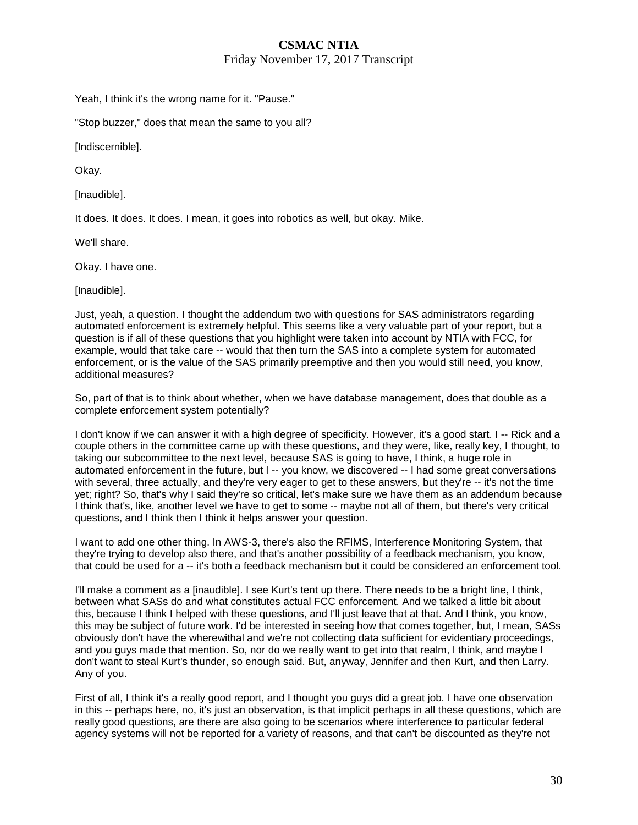Friday November 17, 2017 Transcript

Yeah, I think it's the wrong name for it. "Pause."

"Stop buzzer," does that mean the same to you all?

[Indiscernible].

Okay.

[Inaudible].

It does. It does. It does. I mean, it goes into robotics as well, but okay. Mike.

We'll share.

Okay. I have one.

[Inaudible].

Just, yeah, a question. I thought the addendum two with questions for SAS administrators regarding automated enforcement is extremely helpful. This seems like a very valuable part of your report, but a question is if all of these questions that you highlight were taken into account by NTIA with FCC, for example, would that take care -- would that then turn the SAS into a complete system for automated enforcement, or is the value of the SAS primarily preemptive and then you would still need, you know, additional measures?

So, part of that is to think about whether, when we have database management, does that double as a complete enforcement system potentially?

I don't know if we can answer it with a high degree of specificity. However, it's a good start. I -- Rick and a couple others in the committee came up with these questions, and they were, like, really key, I thought, to taking our subcommittee to the next level, because SAS is going to have, I think, a huge role in automated enforcement in the future, but I -- you know, we discovered -- I had some great conversations with several, three actually, and they're very eager to get to these answers, but they're -- it's not the time yet; right? So, that's why I said they're so critical, let's make sure we have them as an addendum because I think that's, like, another level we have to get to some -- maybe not all of them, but there's very critical questions, and I think then I think it helps answer your question.

I want to add one other thing. In AWS-3, there's also the RFIMS, Interference Monitoring System, that they're trying to develop also there, and that's another possibility of a feedback mechanism, you know, that could be used for a -- it's both a feedback mechanism but it could be considered an enforcement tool.

I'll make a comment as a [inaudible]. I see Kurt's tent up there. There needs to be a bright line, I think, between what SASs do and what constitutes actual FCC enforcement. And we talked a little bit about this, because I think I helped with these questions, and I'll just leave that at that. And I think, you know, this may be subject of future work. I'd be interested in seeing how that comes together, but, I mean, SASs obviously don't have the wherewithal and we're not collecting data sufficient for evidentiary proceedings, and you guys made that mention. So, nor do we really want to get into that realm, I think, and maybe I don't want to steal Kurt's thunder, so enough said. But, anyway, Jennifer and then Kurt, and then Larry. Any of you.

First of all, I think it's a really good report, and I thought you guys did a great job. I have one observation in this -- perhaps here, no, it's just an observation, is that implicit perhaps in all these questions, which are really good questions, are there are also going to be scenarios where interference to particular federal agency systems will not be reported for a variety of reasons, and that can't be discounted as they're not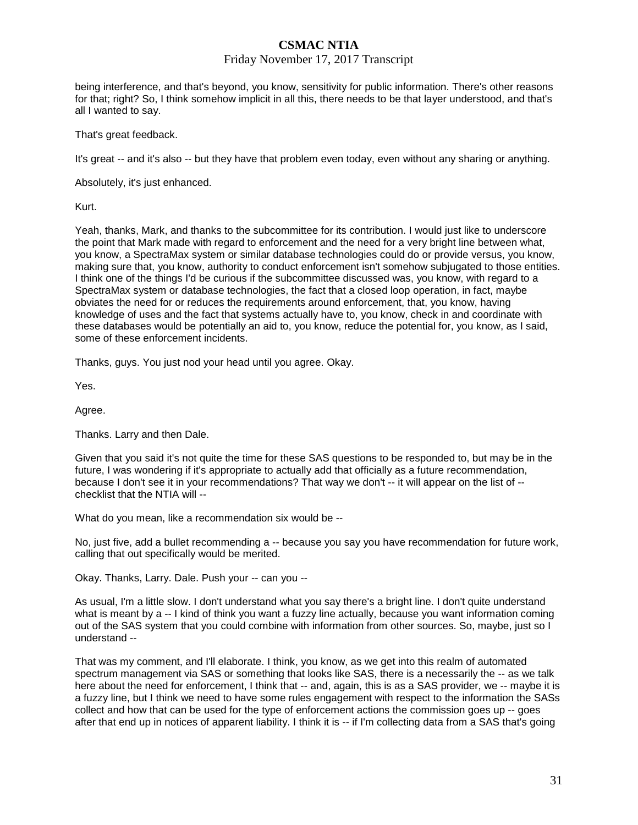### Friday November 17, 2017 Transcript

being interference, and that's beyond, you know, sensitivity for public information. There's other reasons for that; right? So, I think somehow implicit in all this, there needs to be that layer understood, and that's all I wanted to say.

That's great feedback.

It's great -- and it's also -- but they have that problem even today, even without any sharing or anything.

Absolutely, it's just enhanced.

Kurt.

Yeah, thanks, Mark, and thanks to the subcommittee for its contribution. I would just like to underscore the point that Mark made with regard to enforcement and the need for a very bright line between what, you know, a SpectraMax system or similar database technologies could do or provide versus, you know, making sure that, you know, authority to conduct enforcement isn't somehow subjugated to those entities. I think one of the things I'd be curious if the subcommittee discussed was, you know, with regard to a SpectraMax system or database technologies, the fact that a closed loop operation, in fact, maybe obviates the need for or reduces the requirements around enforcement, that, you know, having knowledge of uses and the fact that systems actually have to, you know, check in and coordinate with these databases would be potentially an aid to, you know, reduce the potential for, you know, as I said, some of these enforcement incidents.

Thanks, guys. You just nod your head until you agree. Okay.

Yes.

Agree.

Thanks. Larry and then Dale.

Given that you said it's not quite the time for these SAS questions to be responded to, but may be in the future, I was wondering if it's appropriate to actually add that officially as a future recommendation, because I don't see it in your recommendations? That way we don't -- it will appear on the list of - checklist that the NTIA will --

What do you mean, like a recommendation six would be --

No, just five, add a bullet recommending a -- because you say you have recommendation for future work, calling that out specifically would be merited.

Okay. Thanks, Larry. Dale. Push your -- can you --

As usual, I'm a little slow. I don't understand what you say there's a bright line. I don't quite understand what is meant by a -- I kind of think you want a fuzzy line actually, because you want information coming out of the SAS system that you could combine with information from other sources. So, maybe, just so I understand --

That was my comment, and I'll elaborate. I think, you know, as we get into this realm of automated spectrum management via SAS or something that looks like SAS, there is a necessarily the -- as we talk here about the need for enforcement, I think that -- and, again, this is as a SAS provider, we -- maybe it is a fuzzy line, but I think we need to have some rules engagement with respect to the information the SASs collect and how that can be used for the type of enforcement actions the commission goes up -- goes after that end up in notices of apparent liability. I think it is -- if I'm collecting data from a SAS that's going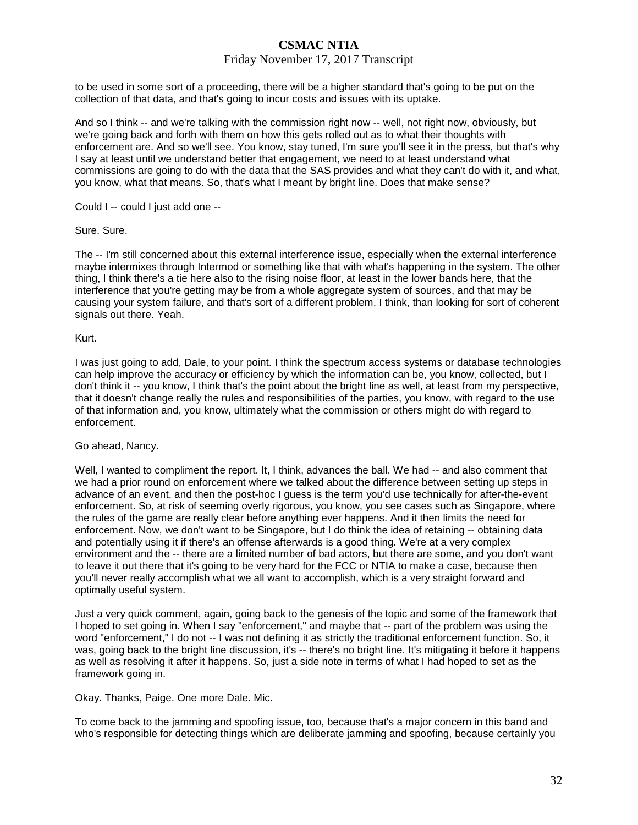### Friday November 17, 2017 Transcript

to be used in some sort of a proceeding, there will be a higher standard that's going to be put on the collection of that data, and that's going to incur costs and issues with its uptake.

And so I think -- and we're talking with the commission right now -- well, not right now, obviously, but we're going back and forth with them on how this gets rolled out as to what their thoughts with enforcement are. And so we'll see. You know, stay tuned, I'm sure you'll see it in the press, but that's why I say at least until we understand better that engagement, we need to at least understand what commissions are going to do with the data that the SAS provides and what they can't do with it, and what, you know, what that means. So, that's what I meant by bright line. Does that make sense?

Could I -- could I just add one --

#### Sure. Sure.

The -- I'm still concerned about this external interference issue, especially when the external interference maybe intermixes through Intermod or something like that with what's happening in the system. The other thing, I think there's a tie here also to the rising noise floor, at least in the lower bands here, that the interference that you're getting may be from a whole aggregate system of sources, and that may be causing your system failure, and that's sort of a different problem, I think, than looking for sort of coherent signals out there. Yeah.

#### Kurt.

I was just going to add, Dale, to your point. I think the spectrum access systems or database technologies can help improve the accuracy or efficiency by which the information can be, you know, collected, but I don't think it -- you know, I think that's the point about the bright line as well, at least from my perspective, that it doesn't change really the rules and responsibilities of the parties, you know, with regard to the use of that information and, you know, ultimately what the commission or others might do with regard to enforcement.

### Go ahead, Nancy.

Well, I wanted to compliment the report. It, I think, advances the ball. We had -- and also comment that we had a prior round on enforcement where we talked about the difference between setting up steps in advance of an event, and then the post-hoc I guess is the term you'd use technically for after-the-event enforcement. So, at risk of seeming overly rigorous, you know, you see cases such as Singapore, where the rules of the game are really clear before anything ever happens. And it then limits the need for enforcement. Now, we don't want to be Singapore, but I do think the idea of retaining -- obtaining data and potentially using it if there's an offense afterwards is a good thing. We're at a very complex environment and the -- there are a limited number of bad actors, but there are some, and you don't want to leave it out there that it's going to be very hard for the FCC or NTIA to make a case, because then you'll never really accomplish what we all want to accomplish, which is a very straight forward and optimally useful system.

Just a very quick comment, again, going back to the genesis of the topic and some of the framework that I hoped to set going in. When I say "enforcement," and maybe that -- part of the problem was using the word "enforcement," I do not -- I was not defining it as strictly the traditional enforcement function. So, it was, going back to the bright line discussion, it's -- there's no bright line. It's mitigating it before it happens as well as resolving it after it happens. So, just a side note in terms of what I had hoped to set as the framework going in.

Okay. Thanks, Paige. One more Dale. Mic.

To come back to the jamming and spoofing issue, too, because that's a major concern in this band and who's responsible for detecting things which are deliberate jamming and spoofing, because certainly you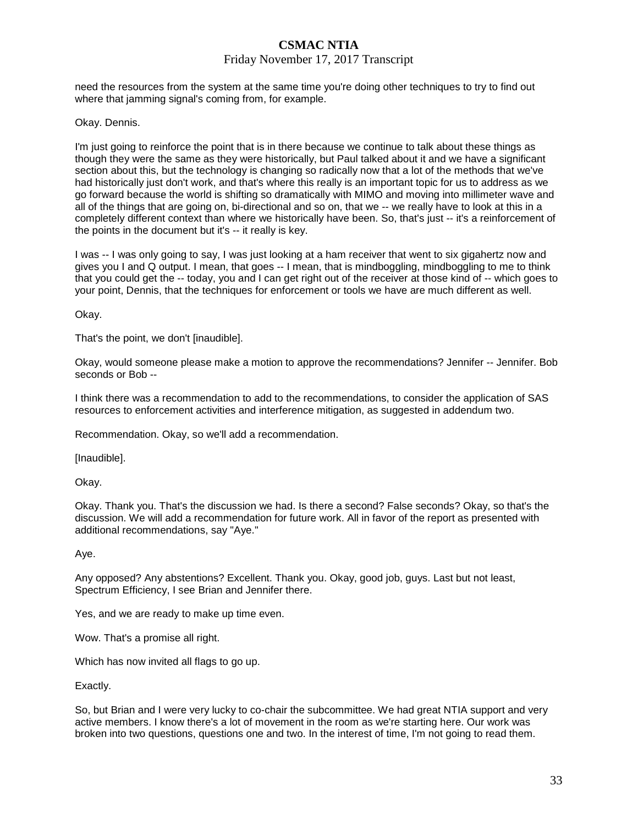### Friday November 17, 2017 Transcript

need the resources from the system at the same time you're doing other techniques to try to find out where that jamming signal's coming from, for example.

### Okay. Dennis.

I'm just going to reinforce the point that is in there because we continue to talk about these things as though they were the same as they were historically, but Paul talked about it and we have a significant section about this, but the technology is changing so radically now that a lot of the methods that we've had historically just don't work, and that's where this really is an important topic for us to address as we go forward because the world is shifting so dramatically with MIMO and moving into millimeter wave and all of the things that are going on, bi-directional and so on, that we -- we really have to look at this in a completely different context than where we historically have been. So, that's just -- it's a reinforcement of the points in the document but it's -- it really is key.

I was -- I was only going to say, I was just looking at a ham receiver that went to six gigahertz now and gives you I and Q output. I mean, that goes -- I mean, that is mindboggling, mindboggling to me to think that you could get the -- today, you and I can get right out of the receiver at those kind of -- which goes to your point, Dennis, that the techniques for enforcement or tools we have are much different as well.

Okay.

That's the point, we don't [inaudible].

Okay, would someone please make a motion to approve the recommendations? Jennifer -- Jennifer. Bob seconds or Bob --

I think there was a recommendation to add to the recommendations, to consider the application of SAS resources to enforcement activities and interference mitigation, as suggested in addendum two.

Recommendation. Okay, so we'll add a recommendation.

[Inaudible].

Okay.

Okay. Thank you. That's the discussion we had. Is there a second? False seconds? Okay, so that's the discussion. We will add a recommendation for future work. All in favor of the report as presented with additional recommendations, say "Aye."

Aye.

Any opposed? Any abstentions? Excellent. Thank you. Okay, good job, guys. Last but not least, Spectrum Efficiency, I see Brian and Jennifer there.

Yes, and we are ready to make up time even.

Wow. That's a promise all right.

Which has now invited all flags to go up.

Exactly.

So, but Brian and I were very lucky to co-chair the subcommittee. We had great NTIA support and very active members. I know there's a lot of movement in the room as we're starting here. Our work was broken into two questions, questions one and two. In the interest of time, I'm not going to read them.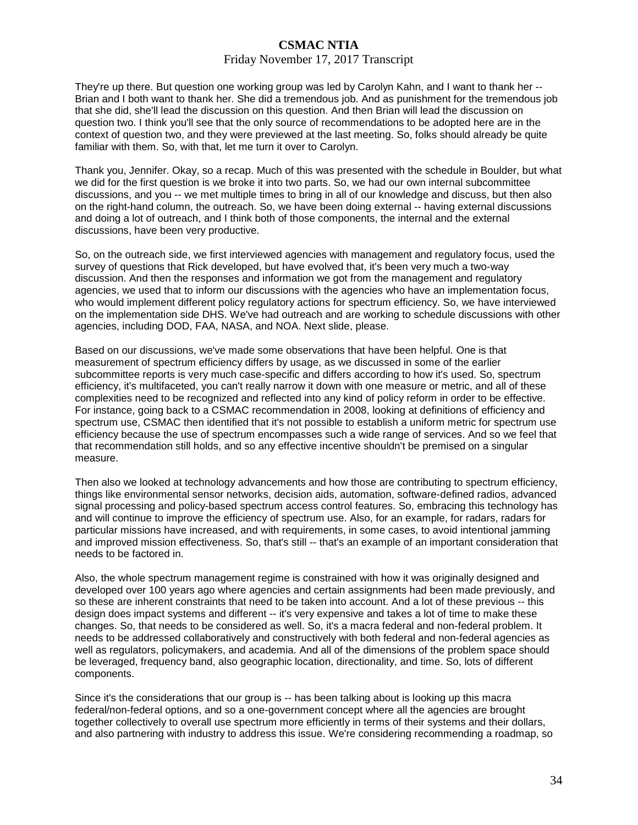### Friday November 17, 2017 Transcript

They're up there. But question one working group was led by Carolyn Kahn, and I want to thank her -- Brian and I both want to thank her. She did a tremendous job. And as punishment for the tremendous job that she did, she'll lead the discussion on this question. And then Brian will lead the discussion on question two. I think you'll see that the only source of recommendations to be adopted here are in the context of question two, and they were previewed at the last meeting. So, folks should already be quite familiar with them. So, with that, let me turn it over to Carolyn.

Thank you, Jennifer. Okay, so a recap. Much of this was presented with the schedule in Boulder, but what we did for the first question is we broke it into two parts. So, we had our own internal subcommittee discussions, and you -- we met multiple times to bring in all of our knowledge and discuss, but then also on the right-hand column, the outreach. So, we have been doing external -- having external discussions and doing a lot of outreach, and I think both of those components, the internal and the external discussions, have been very productive.

So, on the outreach side, we first interviewed agencies with management and regulatory focus, used the survey of questions that Rick developed, but have evolved that, it's been very much a two-way discussion. And then the responses and information we got from the management and regulatory agencies, we used that to inform our discussions with the agencies who have an implementation focus, who would implement different policy regulatory actions for spectrum efficiency. So, we have interviewed on the implementation side DHS. We've had outreach and are working to schedule discussions with other agencies, including DOD, FAA, NASA, and NOA. Next slide, please.

Based on our discussions, we've made some observations that have been helpful. One is that measurement of spectrum efficiency differs by usage, as we discussed in some of the earlier subcommittee reports is very much case-specific and differs according to how it's used. So, spectrum efficiency, it's multifaceted, you can't really narrow it down with one measure or metric, and all of these complexities need to be recognized and reflected into any kind of policy reform in order to be effective. For instance, going back to a CSMAC recommendation in 2008, looking at definitions of efficiency and spectrum use, CSMAC then identified that it's not possible to establish a uniform metric for spectrum use efficiency because the use of spectrum encompasses such a wide range of services. And so we feel that that recommendation still holds, and so any effective incentive shouldn't be premised on a singular measure.

Then also we looked at technology advancements and how those are contributing to spectrum efficiency, things like environmental sensor networks, decision aids, automation, software-defined radios, advanced signal processing and policy-based spectrum access control features. So, embracing this technology has and will continue to improve the efficiency of spectrum use. Also, for an example, for radars, radars for particular missions have increased, and with requirements, in some cases, to avoid intentional jamming and improved mission effectiveness. So, that's still -- that's an example of an important consideration that needs to be factored in.

Also, the whole spectrum management regime is constrained with how it was originally designed and developed over 100 years ago where agencies and certain assignments had been made previously, and so these are inherent constraints that need to be taken into account. And a lot of these previous -- this design does impact systems and different -- it's very expensive and takes a lot of time to make these changes. So, that needs to be considered as well. So, it's a macra federal and non-federal problem. It needs to be addressed collaboratively and constructively with both federal and non-federal agencies as well as regulators, policymakers, and academia. And all of the dimensions of the problem space should be leveraged, frequency band, also geographic location, directionality, and time. So, lots of different components.

Since it's the considerations that our group is -- has been talking about is looking up this macra federal/non-federal options, and so a one-government concept where all the agencies are brought together collectively to overall use spectrum more efficiently in terms of their systems and their dollars, and also partnering with industry to address this issue. We're considering recommending a roadmap, so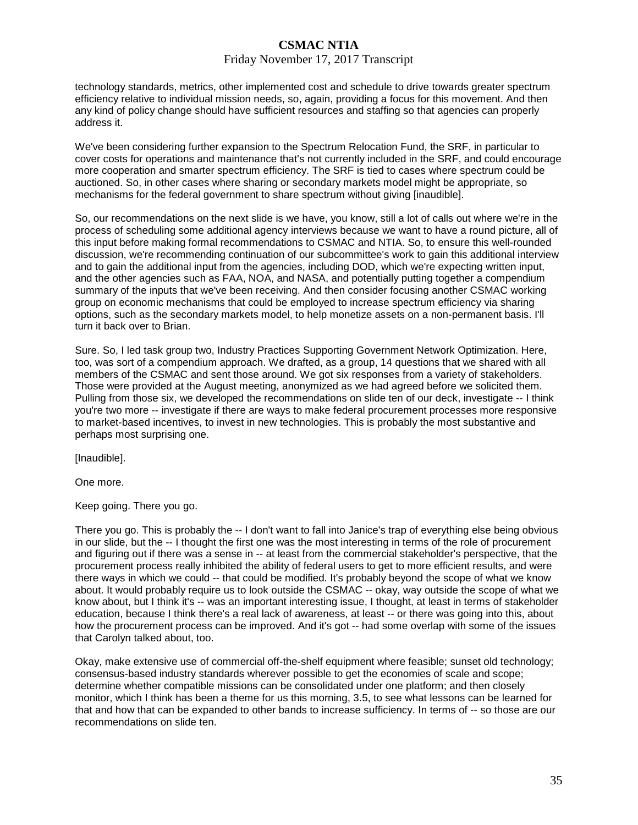#### Friday November 17, 2017 Transcript

technology standards, metrics, other implemented cost and schedule to drive towards greater spectrum efficiency relative to individual mission needs, so, again, providing a focus for this movement. And then any kind of policy change should have sufficient resources and staffing so that agencies can properly address it.

We've been considering further expansion to the Spectrum Relocation Fund, the SRF, in particular to cover costs for operations and maintenance that's not currently included in the SRF, and could encourage more cooperation and smarter spectrum efficiency. The SRF is tied to cases where spectrum could be auctioned. So, in other cases where sharing or secondary markets model might be appropriate, so mechanisms for the federal government to share spectrum without giving [inaudible].

So, our recommendations on the next slide is we have, you know, still a lot of calls out where we're in the process of scheduling some additional agency interviews because we want to have a round picture, all of this input before making formal recommendations to CSMAC and NTIA. So, to ensure this well-rounded discussion, we're recommending continuation of our subcommittee's work to gain this additional interview and to gain the additional input from the agencies, including DOD, which we're expecting written input, and the other agencies such as FAA, NOA, and NASA, and potentially putting together a compendium summary of the inputs that we've been receiving. And then consider focusing another CSMAC working group on economic mechanisms that could be employed to increase spectrum efficiency via sharing options, such as the secondary markets model, to help monetize assets on a non-permanent basis. I'll turn it back over to Brian.

Sure. So, I led task group two, Industry Practices Supporting Government Network Optimization. Here, too, was sort of a compendium approach. We drafted, as a group, 14 questions that we shared with all members of the CSMAC and sent those around. We got six responses from a variety of stakeholders. Those were provided at the August meeting, anonymized as we had agreed before we solicited them. Pulling from those six, we developed the recommendations on slide ten of our deck, investigate -- I think you're two more -- investigate if there are ways to make federal procurement processes more responsive to market-based incentives, to invest in new technologies. This is probably the most substantive and perhaps most surprising one.

[Inaudible].

One more.

Keep going. There you go.

There you go. This is probably the -- I don't want to fall into Janice's trap of everything else being obvious in our slide, but the -- I thought the first one was the most interesting in terms of the role of procurement and figuring out if there was a sense in -- at least from the commercial stakeholder's perspective, that the procurement process really inhibited the ability of federal users to get to more efficient results, and were there ways in which we could -- that could be modified. It's probably beyond the scope of what we know about. It would probably require us to look outside the CSMAC -- okay, way outside the scope of what we know about, but I think it's -- was an important interesting issue, I thought, at least in terms of stakeholder education, because I think there's a real lack of awareness, at least -- or there was going into this, about how the procurement process can be improved. And it's got -- had some overlap with some of the issues that Carolyn talked about, too.

Okay, make extensive use of commercial off-the-shelf equipment where feasible; sunset old technology; consensus-based industry standards wherever possible to get the economies of scale and scope; determine whether compatible missions can be consolidated under one platform; and then closely monitor, which I think has been a theme for us this morning, 3.5, to see what lessons can be learned for that and how that can be expanded to other bands to increase sufficiency. In terms of -- so those are our recommendations on slide ten.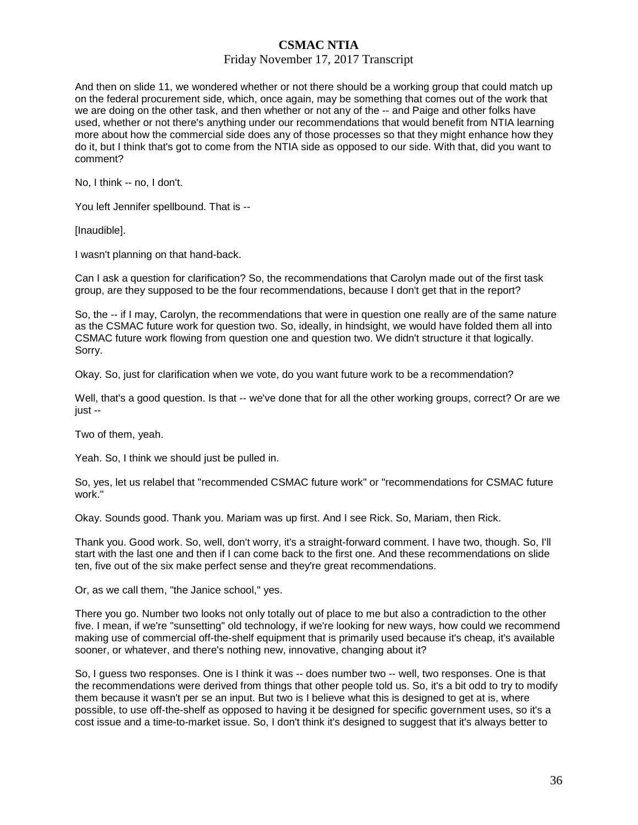### Friday November 17, 2017 Transcript

And then on slide 11, we wondered whether or not there should be a working group that could match up on the federal procurement side, which, once again, may be something that comes out of the work that we are doing on the other task, and then whether or not any of the -- and Paige and other folks have used, whether or not there's anything under our recommendations that would benefit from NTIA learning more about how the commercial side does any of those processes so that they might enhance how they do it, but I think that's got to come from the NTIA side as opposed to our side. With that, did you want to comment?

No, I think -- no, I don't.

You left Jennifer spellbound. That is --

[Inaudible].

I wasn't planning on that hand-back.

Can I ask a question for clarification? So, the recommendations that Carolyn made out of the first task group, are they supposed to be the four recommendations, because I don't get that in the report?

So, the -- if I may, Carolyn, the recommendations that were in question one really are of the same nature as the CSMAC future work for question two. So, ideally, in hindsight, we would have folded them all into CSMAC future work flowing from question one and question two. We didn't structure it that logically. Sorry.

Okay. So, just for clarification when we vote, do you want future work to be a recommendation?

Well, that's a good question. Is that -- we've done that for all the other working groups, correct? Or are we just --

Two of them, yeah.

Yeah. So, I think we should just be pulled in.

So, yes, let us relabel that "recommended CSMAC future work" or "recommendations for CSMAC future work."

Okay. Sounds good. Thank you. Mariam was up first. And I see Rick. So, Mariam, then Rick.

Thank you. Good work. So, well, don't worry, it's a straight-forward comment. I have two, though. So, I'll start with the last one and then if I can come back to the first one. And these recommendations on slide ten, five out of the six make perfect sense and they're great recommendations.

Or, as we call them, "the Janice school," yes.

There you go. Number two looks not only totally out of place to me but also a contradiction to the other five. I mean, if we're "sunsetting" old technology, if we're looking for new ways, how could we recommend making use of commercial off-the-shelf equipment that is primarily used because it's cheap, it's available sooner, or whatever, and there's nothing new, innovative, changing about it?

So, I guess two responses. One is I think it was -- does number two -- well, two responses. One is that the recommendations were derived from things that other people told us. So, it's a bit odd to try to modify them because it wasn't per se an input. But two is I believe what this is designed to get at is, where possible, to use off-the-shelf as opposed to having it be designed for specific government uses, so it's a cost issue and a time-to-market issue. So, I don't think it's designed to suggest that it's always better to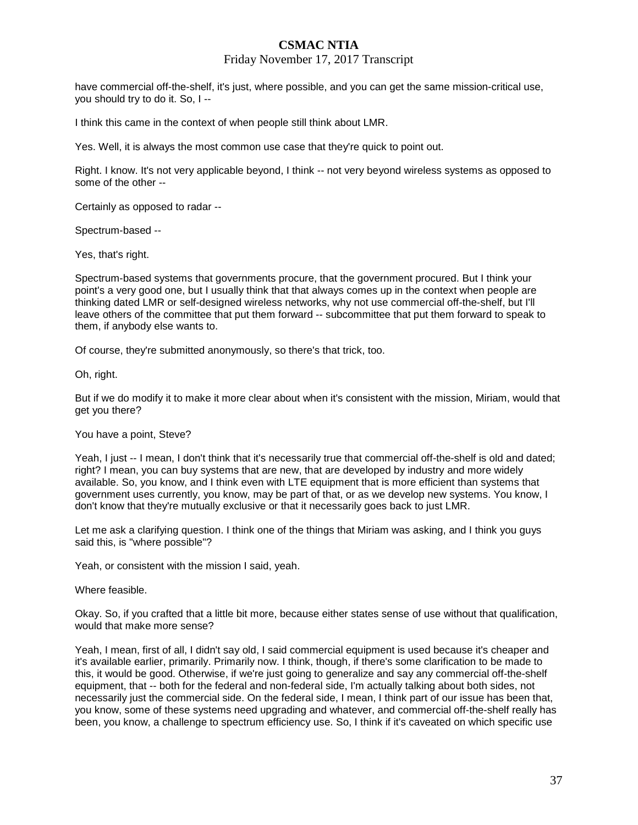#### Friday November 17, 2017 Transcript

have commercial off-the-shelf, it's just, where possible, and you can get the same mission-critical use, you should try to do it. So, I --

I think this came in the context of when people still think about LMR.

Yes. Well, it is always the most common use case that they're quick to point out.

Right. I know. It's not very applicable beyond, I think -- not very beyond wireless systems as opposed to some of the other --

Certainly as opposed to radar --

Spectrum-based --

Yes, that's right.

Spectrum-based systems that governments procure, that the government procured. But I think your point's a very good one, but I usually think that that always comes up in the context when people are thinking dated LMR or self-designed wireless networks, why not use commercial off-the-shelf, but I'll leave others of the committee that put them forward -- subcommittee that put them forward to speak to them, if anybody else wants to.

Of course, they're submitted anonymously, so there's that trick, too.

Oh, right.

But if we do modify it to make it more clear about when it's consistent with the mission, Miriam, would that get you there?

#### You have a point, Steve?

Yeah, I just -- I mean, I don't think that it's necessarily true that commercial off-the-shelf is old and dated; right? I mean, you can buy systems that are new, that are developed by industry and more widely available. So, you know, and I think even with LTE equipment that is more efficient than systems that government uses currently, you know, may be part of that, or as we develop new systems. You know, I don't know that they're mutually exclusive or that it necessarily goes back to just LMR.

Let me ask a clarifying question. I think one of the things that Miriam was asking, and I think you guys said this, is "where possible"?

Yeah, or consistent with the mission I said, yeah.

Where feasible.

Okay. So, if you crafted that a little bit more, because either states sense of use without that qualification, would that make more sense?

Yeah, I mean, first of all, I didn't say old, I said commercial equipment is used because it's cheaper and it's available earlier, primarily. Primarily now. I think, though, if there's some clarification to be made to this, it would be good. Otherwise, if we're just going to generalize and say any commercial off-the-shelf equipment, that -- both for the federal and non-federal side, I'm actually talking about both sides, not necessarily just the commercial side. On the federal side, I mean, I think part of our issue has been that, you know, some of these systems need upgrading and whatever, and commercial off-the-shelf really has been, you know, a challenge to spectrum efficiency use. So, I think if it's caveated on which specific use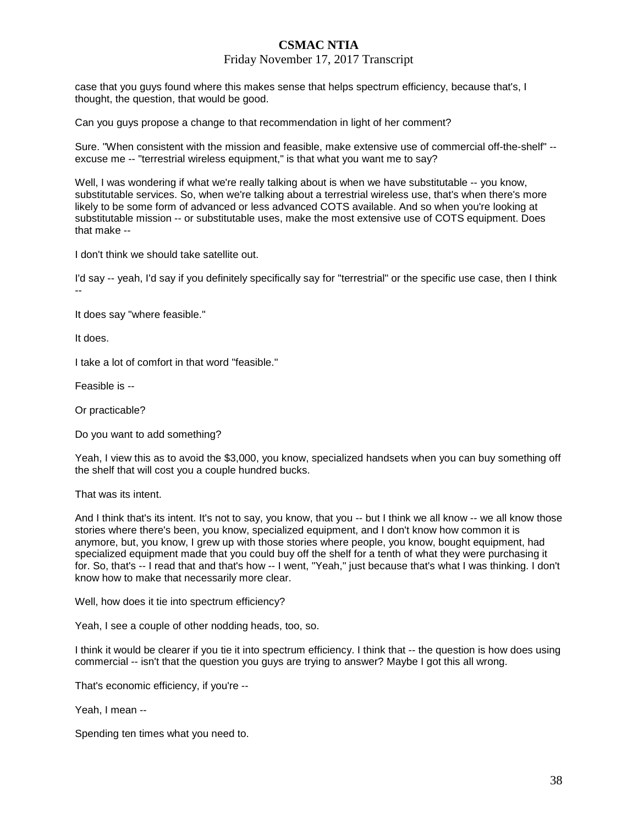### Friday November 17, 2017 Transcript

case that you guys found where this makes sense that helps spectrum efficiency, because that's, I thought, the question, that would be good.

Can you guys propose a change to that recommendation in light of her comment?

Sure. "When consistent with the mission and feasible, make extensive use of commercial off-the-shelf" - excuse me -- "terrestrial wireless equipment," is that what you want me to say?

Well, I was wondering if what we're really talking about is when we have substitutable -- you know, substitutable services. So, when we're talking about a terrestrial wireless use, that's when there's more likely to be some form of advanced or less advanced COTS available. And so when you're looking at substitutable mission -- or substitutable uses, make the most extensive use of COTS equipment. Does that make --

I don't think we should take satellite out.

I'd say -- yeah, I'd say if you definitely specifically say for "terrestrial" or the specific use case, then I think --

It does say "where feasible."

It does.

I take a lot of comfort in that word "feasible."

Feasible is --

Or practicable?

Do you want to add something?

Yeah, I view this as to avoid the \$3,000, you know, specialized handsets when you can buy something off the shelf that will cost you a couple hundred bucks.

That was its intent.

And I think that's its intent. It's not to say, you know, that you -- but I think we all know -- we all know those stories where there's been, you know, specialized equipment, and I don't know how common it is anymore, but, you know, I grew up with those stories where people, you know, bought equipment, had specialized equipment made that you could buy off the shelf for a tenth of what they were purchasing it for. So, that's -- I read that and that's how -- I went, "Yeah," just because that's what I was thinking. I don't know how to make that necessarily more clear.

Well, how does it tie into spectrum efficiency?

Yeah, I see a couple of other nodding heads, too, so.

I think it would be clearer if you tie it into spectrum efficiency. I think that -- the question is how does using commercial -- isn't that the question you guys are trying to answer? Maybe I got this all wrong.

That's economic efficiency, if you're --

Yeah, I mean --

Spending ten times what you need to.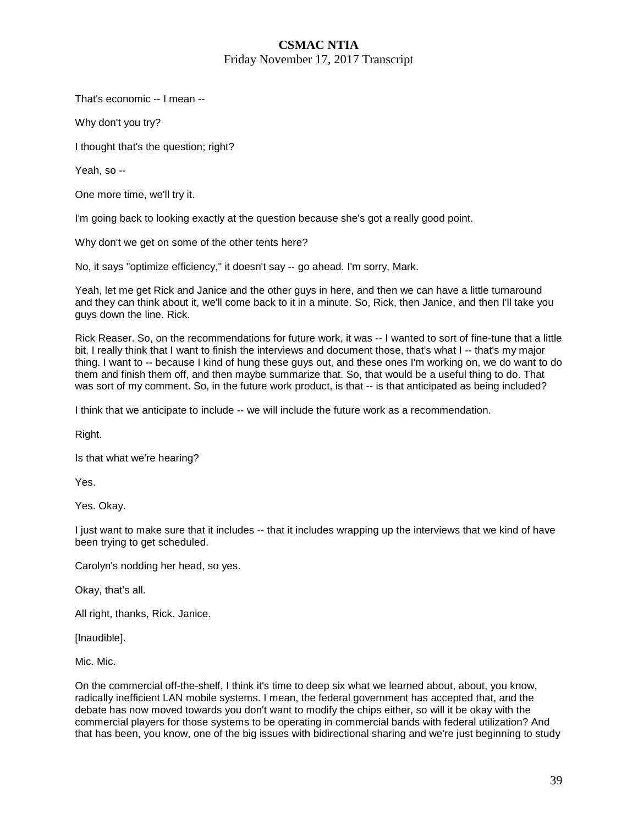### **CSMAC NTIA**  Friday November 17, 2017 Transcript

That's economic -- I mean --

Why don't you try?

I thought that's the question; right?

Yeah, so --

One more time, we'll try it.

I'm going back to looking exactly at the question because she's got a really good point.

Why don't we get on some of the other tents here?

No, it says "optimize efficiency," it doesn't say -- go ahead. I'm sorry, Mark.

Yeah, let me get Rick and Janice and the other guys in here, and then we can have a little turnaround and they can think about it, we'll come back to it in a minute. So, Rick, then Janice, and then I'll take you guys down the line. Rick.

Rick Reaser. So, on the recommendations for future work, it was -- I wanted to sort of fine-tune that a little bit. I really think that I want to finish the interviews and document those, that's what I -- that's my major thing. I want to -- because I kind of hung these guys out, and these ones I'm working on, we do want to do them and finish them off, and then maybe summarize that. So, that would be a useful thing to do. That was sort of my comment. So, in the future work product, is that -- is that anticipated as being included?

I think that we anticipate to include -- we will include the future work as a recommendation.

Right.

Is that what we're hearing?

Yes.

Yes. Okay.

I just want to make sure that it includes -- that it includes wrapping up the interviews that we kind of have been trying to get scheduled.

Carolyn's nodding her head, so yes.

Okay, that's all.

All right, thanks, Rick. Janice.

[Inaudible].

Mic. Mic.

On the commercial off-the-shelf, I think it's time to deep six what we learned about, about, you know, radically inefficient LAN mobile systems. I mean, the federal government has accepted that, and the debate has now moved towards you don't want to modify the chips either, so will it be okay with the commercial players for those systems to be operating in commercial bands with federal utilization? And that has been, you know, one of the big issues with bidirectional sharing and we're just beginning to study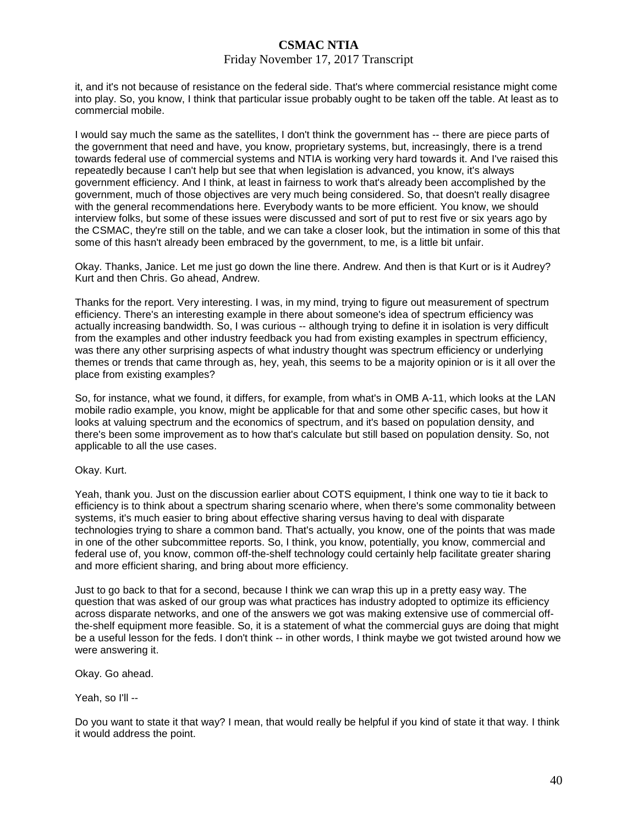#### Friday November 17, 2017 Transcript

it, and it's not because of resistance on the federal side. That's where commercial resistance might come into play. So, you know, I think that particular issue probably ought to be taken off the table. At least as to commercial mobile.

I would say much the same as the satellites, I don't think the government has -- there are piece parts of the government that need and have, you know, proprietary systems, but, increasingly, there is a trend towards federal use of commercial systems and NTIA is working very hard towards it. And I've raised this repeatedly because I can't help but see that when legislation is advanced, you know, it's always government efficiency. And I think, at least in fairness to work that's already been accomplished by the government, much of those objectives are very much being considered. So, that doesn't really disagree with the general recommendations here. Everybody wants to be more efficient. You know, we should interview folks, but some of these issues were discussed and sort of put to rest five or six years ago by the CSMAC, they're still on the table, and we can take a closer look, but the intimation in some of this that some of this hasn't already been embraced by the government, to me, is a little bit unfair.

Okay. Thanks, Janice. Let me just go down the line there. Andrew. And then is that Kurt or is it Audrey? Kurt and then Chris. Go ahead, Andrew.

Thanks for the report. Very interesting. I was, in my mind, trying to figure out measurement of spectrum efficiency. There's an interesting example in there about someone's idea of spectrum efficiency was actually increasing bandwidth. So, I was curious -- although trying to define it in isolation is very difficult from the examples and other industry feedback you had from existing examples in spectrum efficiency, was there any other surprising aspects of what industry thought was spectrum efficiency or underlying themes or trends that came through as, hey, yeah, this seems to be a majority opinion or is it all over the place from existing examples?

So, for instance, what we found, it differs, for example, from what's in OMB A-11, which looks at the LAN mobile radio example, you know, might be applicable for that and some other specific cases, but how it looks at valuing spectrum and the economics of spectrum, and it's based on population density, and there's been some improvement as to how that's calculate but still based on population density. So, not applicable to all the use cases.

#### Okay. Kurt.

Yeah, thank you. Just on the discussion earlier about COTS equipment, I think one way to tie it back to efficiency is to think about a spectrum sharing scenario where, when there's some commonality between systems, it's much easier to bring about effective sharing versus having to deal with disparate technologies trying to share a common band. That's actually, you know, one of the points that was made in one of the other subcommittee reports. So, I think, you know, potentially, you know, commercial and federal use of, you know, common off-the-shelf technology could certainly help facilitate greater sharing and more efficient sharing, and bring about more efficiency.

Just to go back to that for a second, because I think we can wrap this up in a pretty easy way. The question that was asked of our group was what practices has industry adopted to optimize its efficiency across disparate networks, and one of the answers we got was making extensive use of commercial offthe-shelf equipment more feasible. So, it is a statement of what the commercial guys are doing that might be a useful lesson for the feds. I don't think -- in other words, I think maybe we got twisted around how we were answering it.

Okay. Go ahead.

Yeah, so I'll --

Do you want to state it that way? I mean, that would really be helpful if you kind of state it that way. I think it would address the point.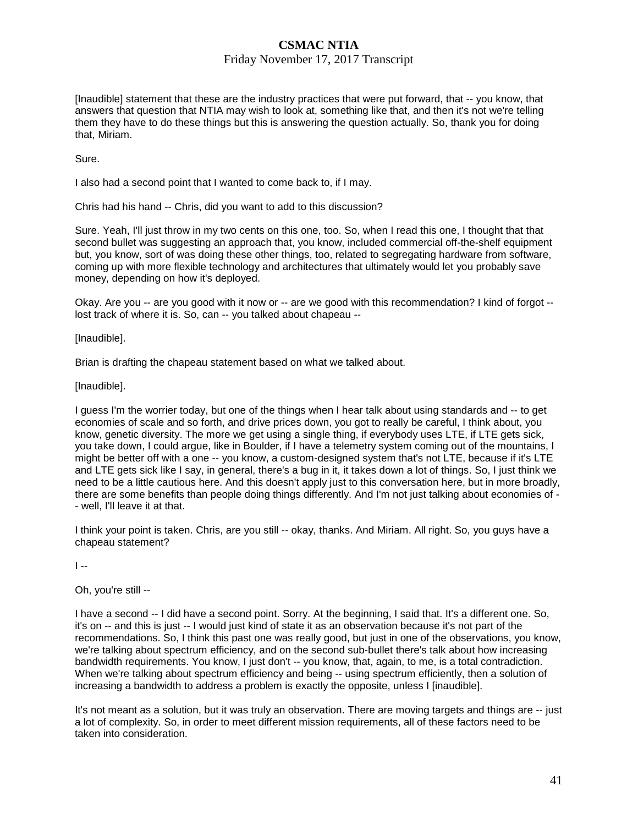### Friday November 17, 2017 Transcript

[Inaudible] statement that these are the industry practices that were put forward, that -- you know, that answers that question that NTIA may wish to look at, something like that, and then it's not we're telling them they have to do these things but this is answering the question actually. So, thank you for doing that, Miriam.

Sure.

I also had a second point that I wanted to come back to, if I may.

Chris had his hand -- Chris, did you want to add to this discussion?

Sure. Yeah, I'll just throw in my two cents on this one, too. So, when I read this one, I thought that that second bullet was suggesting an approach that, you know, included commercial off-the-shelf equipment but, you know, sort of was doing these other things, too, related to segregating hardware from software, coming up with more flexible technology and architectures that ultimately would let you probably save money, depending on how it's deployed.

Okay. Are you -- are you good with it now or -- are we good with this recommendation? I kind of forgot - lost track of where it is. So, can -- you talked about chapeau --

[Inaudible].

Brian is drafting the chapeau statement based on what we talked about.

[Inaudible].

I guess I'm the worrier today, but one of the things when I hear talk about using standards and -- to get economies of scale and so forth, and drive prices down, you got to really be careful, I think about, you know, genetic diversity. The more we get using a single thing, if everybody uses LTE, if LTE gets sick, you take down, I could argue, like in Boulder, if I have a telemetry system coming out of the mountains, I might be better off with a one -- you know, a custom-designed system that's not LTE, because if it's LTE and LTE gets sick like I say, in general, there's a bug in it, it takes down a lot of things. So, I just think we need to be a little cautious here. And this doesn't apply just to this conversation here, but in more broadly, there are some benefits than people doing things differently. And I'm not just talking about economies of - - well, I'll leave it at that.

I think your point is taken. Chris, are you still -- okay, thanks. And Miriam. All right. So, you guys have a chapeau statement?

 $\overline{1}$  --

Oh, you're still --

I have a second -- I did have a second point. Sorry. At the beginning, I said that. It's a different one. So, it's on -- and this is just -- I would just kind of state it as an observation because it's not part of the recommendations. So, I think this past one was really good, but just in one of the observations, you know, we're talking about spectrum efficiency, and on the second sub-bullet there's talk about how increasing bandwidth requirements. You know, I just don't -- you know, that, again, to me, is a total contradiction. When we're talking about spectrum efficiency and being -- using spectrum efficiently, then a solution of increasing a bandwidth to address a problem is exactly the opposite, unless I [inaudible].

It's not meant as a solution, but it was truly an observation. There are moving targets and things are -- just a lot of complexity. So, in order to meet different mission requirements, all of these factors need to be taken into consideration.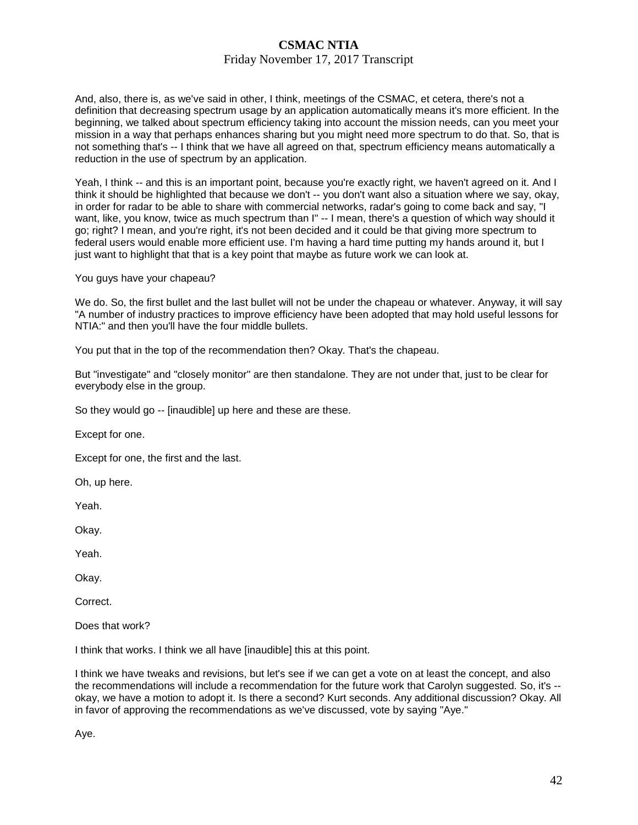### Friday November 17, 2017 Transcript

And, also, there is, as we've said in other, I think, meetings of the CSMAC, et cetera, there's not a definition that decreasing spectrum usage by an application automatically means it's more efficient. In the beginning, we talked about spectrum efficiency taking into account the mission needs, can you meet your mission in a way that perhaps enhances sharing but you might need more spectrum to do that. So, that is not something that's -- I think that we have all agreed on that, spectrum efficiency means automatically a reduction in the use of spectrum by an application.

Yeah, I think -- and this is an important point, because you're exactly right, we haven't agreed on it. And I think it should be highlighted that because we don't -- you don't want also a situation where we say, okay, in order for radar to be able to share with commercial networks, radar's going to come back and say, "I want, like, you know, twice as much spectrum than I" -- I mean, there's a question of which way should it go; right? I mean, and you're right, it's not been decided and it could be that giving more spectrum to federal users would enable more efficient use. I'm having a hard time putting my hands around it, but I just want to highlight that that is a key point that maybe as future work we can look at.

You guys have your chapeau?

We do. So, the first bullet and the last bullet will not be under the chapeau or whatever. Anyway, it will say "A number of industry practices to improve efficiency have been adopted that may hold useful lessons for NTIA:" and then you'll have the four middle bullets.

You put that in the top of the recommendation then? Okay. That's the chapeau.

But "investigate" and "closely monitor" are then standalone. They are not under that, just to be clear for everybody else in the group.

So they would go -- [inaudible] up here and these are these.

Except for one.

Except for one, the first and the last.

Oh, up here.

Yeah.

Okay.

Yeah.

Okay.

Correct.

Does that work?

I think that works. I think we all have [inaudible] this at this point.

I think we have tweaks and revisions, but let's see if we can get a vote on at least the concept, and also the recommendations will include a recommendation for the future work that Carolyn suggested. So, it's - okay, we have a motion to adopt it. Is there a second? Kurt seconds. Any additional discussion? Okay. All in favor of approving the recommendations as we've discussed, vote by saying "Aye."

Aye.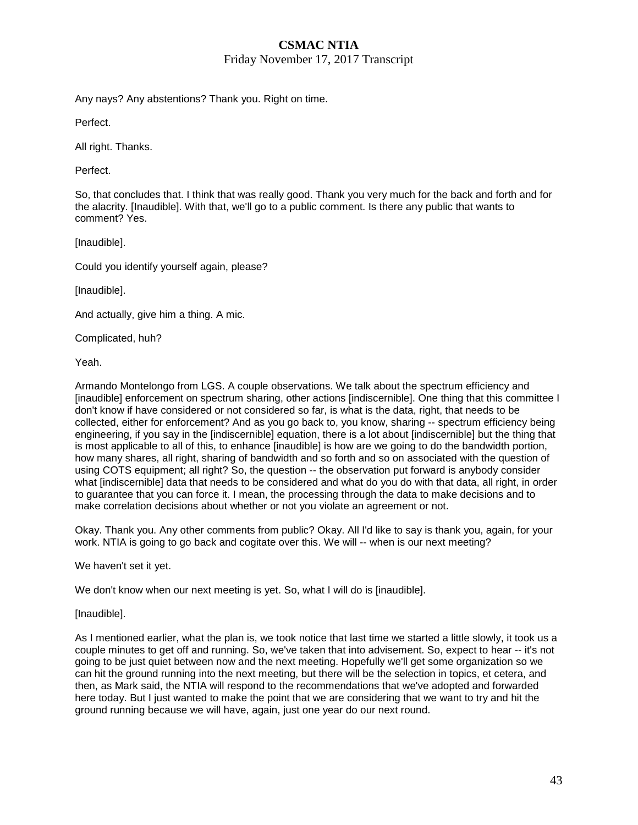### Friday November 17, 2017 Transcript

Any nays? Any abstentions? Thank you. Right on time.

Perfect.

All right. Thanks.

Perfect.

So, that concludes that. I think that was really good. Thank you very much for the back and forth and for the alacrity. [Inaudible]. With that, we'll go to a public comment. Is there any public that wants to comment? Yes.

[Inaudible].

Could you identify yourself again, please?

[Inaudible].

And actually, give him a thing. A mic.

Complicated, huh?

Yeah.

Armando Montelongo from LGS. A couple observations. We talk about the spectrum efficiency and [inaudible] enforcement on spectrum sharing, other actions [indiscernible]. One thing that this committee I don't know if have considered or not considered so far, is what is the data, right, that needs to be collected, either for enforcement? And as you go back to, you know, sharing -- spectrum efficiency being engineering, if you say in the [indiscernible] equation, there is a lot about [indiscernible] but the thing that is most applicable to all of this, to enhance [inaudible] is how are we going to do the bandwidth portion, how many shares, all right, sharing of bandwidth and so forth and so on associated with the question of using COTS equipment; all right? So, the question -- the observation put forward is anybody consider what [indiscernible] data that needs to be considered and what do you do with that data, all right, in order to guarantee that you can force it. I mean, the processing through the data to make decisions and to make correlation decisions about whether or not you violate an agreement or not.

Okay. Thank you. Any other comments from public? Okay. All I'd like to say is thank you, again, for your work. NTIA is going to go back and cogitate over this. We will -- when is our next meeting?

We haven't set it yet.

We don't know when our next meeting is yet. So, what I will do is [inaudible].

[Inaudible].

As I mentioned earlier, what the plan is, we took notice that last time we started a little slowly, it took us a couple minutes to get off and running. So, we've taken that into advisement. So, expect to hear -- it's not going to be just quiet between now and the next meeting. Hopefully we'll get some organization so we can hit the ground running into the next meeting, but there will be the selection in topics, et cetera, and then, as Mark said, the NTIA will respond to the recommendations that we've adopted and forwarded here today. But I just wanted to make the point that we are considering that we want to try and hit the ground running because we will have, again, just one year do our next round.